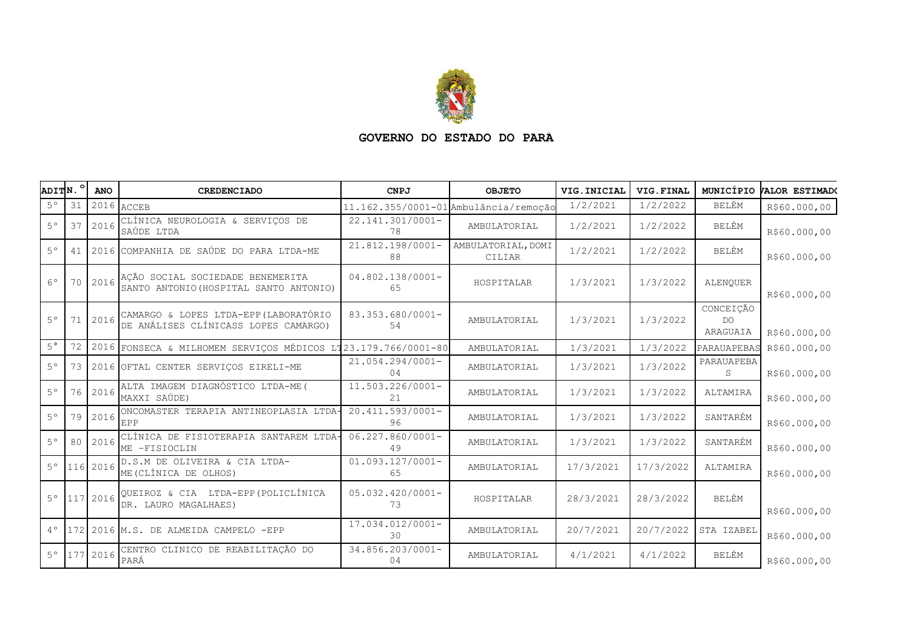

## **GOVERNO DO ESTADO DO PARÁ**

| ADITN.        | $\circ$ | <b>ANO</b> | <b>CREDENCIADO</b>                                                            | <b>CNPJ</b>                           | <b>OBJETO</b>                | VIG. INICIAL | VIG. FINAL | MUNICÍPIO                    | <b><i>VALOR ESTIMADO</i></b> |
|---------------|---------|------------|-------------------------------------------------------------------------------|---------------------------------------|------------------------------|--------------|------------|------------------------------|------------------------------|
| $5^{\circ}$   | 31      |            | $2016$ ACCEB                                                                  | 11.162.355/0001-01 Ambulância/remocão |                              | 1/2/2021     | 1/2/2022   | <b>BELÉM</b>                 | R\$60.000,00                 |
| $5^{\circ}$   | 37      | 2016       | CLÍNICA NEUROLOGIA & SERVIÇOS DE<br>SAÚDE LTDA                                | 22.141.301/0001-<br>78                | AMBULATORIAL                 | 1/2/2021     | 1/2/2022   | <b>BELÉM</b>                 | R\$60.000,00                 |
| $5^{\circ}$   | 41      |            | 2016 COMPANHIA DE SAÚDE DO PARA LTDA-ME                                       | 21.812.198/0001-<br>88                | AMBULATORIAL, DOMI<br>CILIAR | 1/2/2021     | 1/2/2022   | <b>BELÉM</b>                 | R\$60.000,00                 |
| $6^{\circ}$   |         | 70 2016    | AÇÃO SOCIAL SOCIEDADE BENEMERITA<br>SANTO ANTONIO (HOSPITAL SANTO ANTONIO)    | 04.802.138/0001-<br>65                | HOSPITALAR                   | 1/3/2021     | 1/3/2022   | <b>ALENOUER</b>              | R\$60.000,00                 |
| $5^{\circ}$   |         | 71 2016    | CAMARGO & LOPES LTDA-EPP (LABORATÓRIO<br>DE ANÁLISES CLÍNICASS LOPES CAMARGO) | 83.353.680/0001-<br>54                | AMBULATORIAL                 | 1/3/2021     | 1/3/2022   | CONCEIÇÃO<br>DO.<br>ARAGUAIA | R\$60.000,00                 |
| $5^{\circ}$   | 72      |            | 2016 FONSECA & MILHOMEM SERVIÇOS MÉDICOS L123.179.766/0001-80                 |                                       | AMBULATORIAL                 | 1/3/2021     | 1/3/2022   | PARAUAPEBAS                  | R\$60.000,00                 |
| $5^{\circ}$   | 73      |            | 2016 OFTAL CENTER SERVICOS EIRELI-ME                                          | $21.054.294/0001 -$<br>04             | AMBULATORIAL                 | 1/3/2021     | 1/3/2022   | PARAUAPEBA<br>S              | R\$60.000,00                 |
| $5^{\,\circ}$ | 76      | 2016       | ALTA IMAGEM DIAGNÓSTICO LTDA-ME (<br>MAXXI SAÚDE)                             | 11.503.226/0001-<br>21                | AMBULATORIAL                 | 1/3/2021     | 1/3/2022   | ALTAMIRA                     | R\$60.000,00                 |
| $5^{\circ}$   | 79      | 2016       | ONCOMASTER TERAPIA ANTINEOPLASIA LTDA-<br>EPP                                 | 20.411.593/0001-<br>96                | AMBULATORIAL                 | 1/3/2021     | 1/3/2022   | SANTARÉM                     | R\$60.000,00                 |
| $5^{\circ}$   | 80      | 2016       | CLÍNICA DE FISIOTERAPIA SANTAREM LTDA-<br>ME -FISIOCLIN                       | $06.227.860/0001 -$<br>49             | AMBULATORIAL                 | 1/3/2021     | 1/3/2022   | SANTARÉM                     | R\$60.000,00                 |
| $5^{\circ}$   |         | 116 2016   | D.S.M DE OLIVEIRA & CIA LTDA-<br>ME (CLÍNICA DE OLHOS)                        | $01.093.127/0001 -$<br>65             | AMBULATORIAL                 | 17/3/2021    | 17/3/2022  | ALTAMIRA                     | R\$60.000,00                 |
| $5^{\circ}$   |         | 117 2016   | QUEIROZ & CIA LTDA-EPP (POLICLÍNICA<br>DR. LAURO MAGALHAES)                   | $05.032.420/0001 -$<br>73             | HOSPITALAR                   | 28/3/2021    | 28/3/2022  | <b>BELÉM</b>                 | R\$60.000,00                 |
| $4^{\circ}$   | 172     |            | 2016 M.S. DE ALMEIDA CAMPELO -EPP                                             | 17.034.012/0001-<br>30                | AMBULATORIAL                 | 20/7/2021    | 20/7/2022  | STA IZABEL                   | R\$60.000,00                 |
| $5^{\circ}$   |         | 177 2016   | CENTRO CLINICO DE REABILITAÇÃO DO<br>PARÁ                                     | 34.856.203/0001-<br>04                | AMBULATORIAL                 | 4/1/2021     | 4/1/2022   | <b>BELÉM</b>                 | R\$60.000,00                 |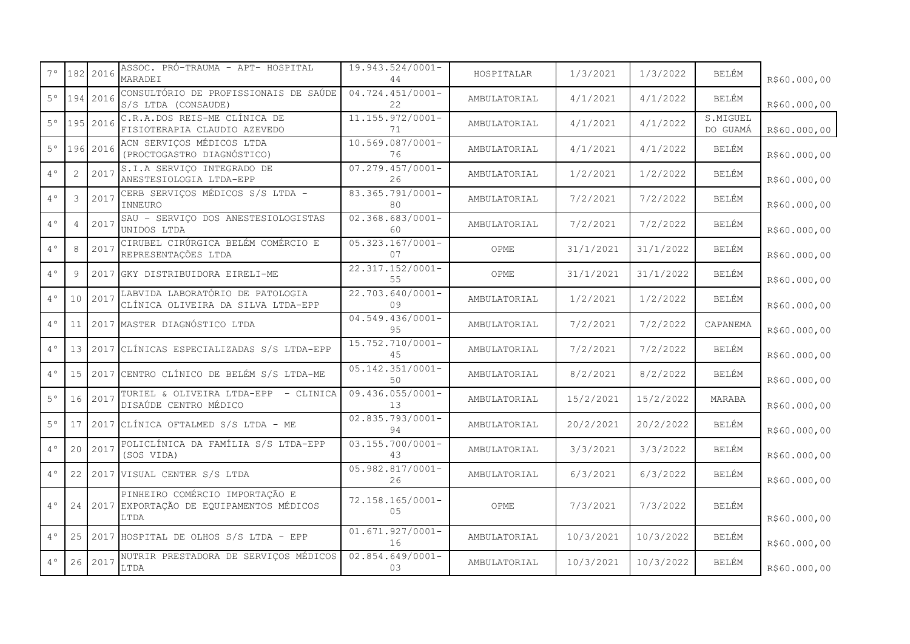| $7^{\circ}$ |              | 182 2016 | ASSOC. PRÓ-TRAUMA - APT- HOSPITAL<br>MARADEI                                      | 19.943.524/0001-<br>44    | HOSPITALAR   | 1/3/2021  | 1/3/2022  | BELÉM                | R\$60.000,00 |
|-------------|--------------|----------|-----------------------------------------------------------------------------------|---------------------------|--------------|-----------|-----------|----------------------|--------------|
| 5°          |              | 194 2016 | CONSULTÓRIO DE PROFISSIONAIS DE SAÚDE<br>S/S LTDA (CONSAUDE)                      | $04.724.451/0001 -$<br>22 | AMBULATORIAL | 4/1/2021  | 4/1/2022  | BELÉM                | R\$60.000,00 |
| $5^{\circ}$ | 195          | 2016     | C.R.A.DOS REIS-ME CLÍNICA DE<br>FISIOTERAPIA CLAUDIO AZEVEDO                      | 11.155.972/0001-<br>71    | AMBULATORIAL | 4/1/2021  | 4/1/2022  | S.MIGUEL<br>DO GUAMÁ | R\$60.000,00 |
| $5^{\circ}$ | 196          | 2016     | ACN SERVIÇOS MÉDICOS LTDA<br>(PROCTOGASTRO DIAGNÓSTICO)                           | $10.569.087/0001 -$<br>76 | AMBULATORIAL | 4/1/2021  | 4/1/2022  | BELÉM                | R\$60.000,00 |
| $4^{\circ}$ | $\mathbf{2}$ | 2017     | S.I.A SERVIÇO INTEGRADO DE<br>ANESTESIOLOGIA LTDA-EPP                             | $07.279.457/0001 -$<br>26 | AMBULATORIAL | 1/2/2021  | 1/2/2022  | <b>BELÉM</b>         | R\$60.000,00 |
| $4^{\circ}$ | 3            | 2017     | CERB SERVIÇOS MÉDICOS S/S LTDA -<br>INNEURO                                       | 83.365.791/0001-<br>80    | AMBULATORIAL | 7/2/2021  | 7/2/2022  | BELÉM                | R\$60.000,00 |
| $4^{\circ}$ | 4            | 2017     | SAU - SERVIÇO DOS ANESTESIOLOGISTAS<br>UNIDOS LTDA                                | $02.368.683/0001 -$<br>60 | AMBULATORIAL | 7/2/2021  | 7/2/2022  | BELÉM                | R\$60.000,00 |
| $4^{\circ}$ | 8            | 2017     | CIRUBEL CIRÚRGICA BELÉM COMÉRCIO E<br>REPRESENTAÇÕES LTDA                         | $05.323.167/0001 -$<br>07 | OPME         | 31/1/2021 | 31/1/2022 | BELÉM                | R\$60.000,00 |
| $4^{\circ}$ | 9            |          | 2017 GKY DISTRIBUIDORA EIRELI-ME                                                  | 22.317.152/0001-<br>55    | OPME         | 31/1/2021 | 31/1/2022 | <b>BELÉM</b>         | R\$60.000,00 |
| $4^{\circ}$ | 10           | 2017     | LABVIDA LABORATÓRIO DE PATOLOGIA<br>CLÍNICA OLIVEIRA DA SILVA LTDA-EPP            | 22.703.640/0001-<br>09    | AMBULATORIAL | 1/2/2021  | 1/2/2022  | BELÉM                | R\$60.000,00 |
| $4^{\circ}$ | 11           |          | 2017 MASTER DIAGNÓSTICO LTDA                                                      | $04.549.436/0001 -$<br>95 | AMBULATORIAL | 7/2/2021  | 7/2/2022  | CAPANEMA             | R\$60.000,00 |
| $4^{\circ}$ | 13           |          | 2017 CLÍNICAS ESPECIALIZADAS S/S LTDA-EPP                                         | 15.752.710/0001-<br>45    | AMBULATORIAL | 7/2/2021  | 7/2/2022  | BELÉM                | R\$60.000,00 |
| $4^{\circ}$ | 15           |          | 2017 CENTRO CLÍNICO DE BELÉM S/S LTDA-ME                                          | $05.142.351/0001 -$<br>50 | AMBULATORIAL | 8/2/2021  | 8/2/2022  | <b>BELÉM</b>         | R\$60.000,00 |
| $5^{\circ}$ | 16           | 2017     | TURIEL & OLIVEIRA LTDA-EPP - CLINICA<br>DISAÚDE CENTRO MÉDICO                     | $09.436.055/0001 -$<br>13 | AMBULATORIAL | 15/2/2021 | 15/2/2022 | MARABA               | R\$60.000,00 |
| $5^{\circ}$ | 17           |          | 2017 CLÍNICA OFTALMED S/S LTDA - ME                                               | $02.835.793/0001 -$<br>94 | AMBULATORIAL | 20/2/2021 | 20/2/2022 | BELÉM                | R\$60.000,00 |
| $4^{\circ}$ | 20           | 2017     | POLICLÍNICA DA FAMÍLIA S/S LTDA-EPP<br>(SOS VIDA)                                 | $03.155.700/0001 -$<br>43 | AMBULATORIAL | 3/3/2021  | 3/3/2022  | BELÉM                | R\$60.000,00 |
| $4^{\circ}$ | 22           |          | 2017 VISUAL CENTER S/S LTDA                                                       | 05.982.817/0001-<br>26    | AMBULATORIAL | 6/3/2021  | 6/3/2022  | BELÉM                | R\$60.000,00 |
| $4^{\circ}$ | 24           |          | PINHEIRO COMÉRCIO IMPORTAÇÃO E<br>2017 EXPORTAÇÃO DE EQUIPAMENTOS MÉDICOS<br>LTDA | 72.158.165/0001-<br>05    | OPME         | 7/3/2021  | 7/3/2022  | BELÉM                | R\$60.000,00 |
| $4^{\circ}$ | 25           |          | 2017 HOSPITAL DE OLHOS S/S LTDA - EPP                                             | $01.671.927/0001 -$<br>16 | AMBULATORIAL | 10/3/2021 | 10/3/2022 | <b>BELÉM</b>         | R\$60.000,00 |
| $4^{\circ}$ | 26           | 2017     | NUTRIR PRESTADORA DE SERVIÇOS MÉDICOS<br>LTDA                                     | $02.854.649/0001 -$<br>03 | AMBULATORIAL | 10/3/2021 | 10/3/2022 | BELÉM                | R\$60.000,00 |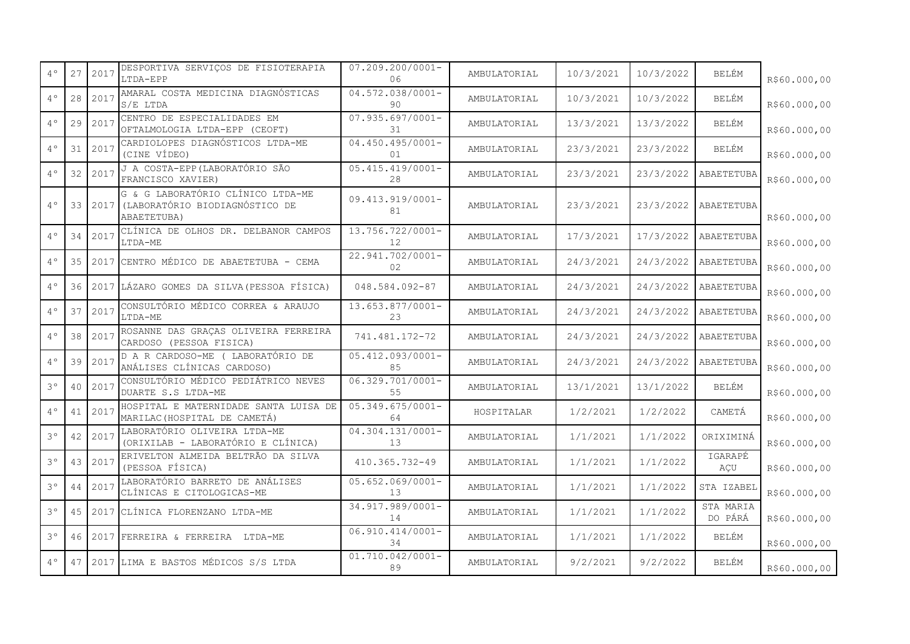| $4^{\circ}$    | 27 | 2017 | DESPORTIVA SERVIÇOS DE FISIOTERAPIA<br>LTDA-EPP                                         | $07.209.200/0001 -$<br>06 | AMBULATORIAL | 10/3/2021 | 10/3/2022 | BELÉM                | R\$60.000,00 |
|----------------|----|------|-----------------------------------------------------------------------------------------|---------------------------|--------------|-----------|-----------|----------------------|--------------|
| $4^{\circ}$    | 28 | 2017 | AMARAL COSTA MEDICINA DIAGNÓSTICAS<br>S/E LTDA                                          | $04.572.038/0001 -$<br>90 | AMBULATORIAL | 10/3/2021 | 10/3/2022 | BELÉM                | R\$60.000,00 |
| $4^{\circ}$    | 29 | 2017 | CENTRO DE ESPECIALIDADES EM<br>OFTALMOLOGIA LTDA-EPP (CEOFT)                            | $07.935.697/0001 -$<br>31 | AMBULATORIAL | 13/3/2021 | 13/3/2022 | BELÉM                | R\$60.000,00 |
| $4^{\circ}$    | 31 | 2017 | CARDIOLOPES DIAGNÓSTICOS LTDA-ME<br>(CINE VÍDEO)                                        | 04.450.495/0001-<br>01    | AMBULATORIAL | 23/3/2021 | 23/3/2022 | BELÉM                | R\$60.000,00 |
| $4^{\circ}$    | 32 | 2017 | J A COSTA-EPP (LABORATÓRIO SÃO<br>FRANCISCO XAVIER)                                     | $05.415.419/0001 -$<br>28 | AMBULATORIAL | 23/3/2021 | 23/3/2022 | <b>ABAETETUBA</b>    | R\$60.000,00 |
| $4$ $^{\circ}$ | 33 |      | G & G LABORATÓRIO CLÍNICO LTDA-ME<br>2017 (LABORATÓRIO BIODIAGNÓSTICO DE<br>ABAETETUBA) | 09.413.919/0001-<br>81    | AMBULATORIAL | 23/3/2021 | 23/3/2022 | ABAETETUBA           | R\$60.000,00 |
| $4^{\circ}$    | 34 | 2017 | CLÍNICA DE OLHOS DR. DELBANOR CAMPOS<br>LTDA-ME                                         | 13.756.722/0001-<br>12    | AMBULATORIAL | 17/3/2021 | 17/3/2022 | ABAETETUBA           | R\$60.000,00 |
| $4^{\circ}$    | 35 | 2017 | CENTRO MÉDICO DE ABAETETUBA - CEMA                                                      | 22.941.702/0001-<br>02    | AMBULATORIAL | 24/3/2021 | 24/3/2022 | ABAETETUBA           | R\$60.000,00 |
| $4^{\circ}$    | 36 |      | 2017 LÁZARO GOMES DA SILVA (PESSOA FÍSICA)                                              | 048.584.092-87            | AMBULATORIAL | 24/3/2021 | 24/3/2022 | ABAETETUBA           | R\$60.000,00 |
| $4^{\circ}$    | 37 | 2017 | CONSULTÓRIO MÉDICO CORREA & ARAUJO<br>LTDA-ME                                           | $13.653.877/0001 -$<br>23 | AMBULATORIAL | 24/3/2021 | 24/3/2022 | <b>ABAETETUBA</b>    | R\$60.000,00 |
| $4^{\circ}$    | 38 | 2017 | ROSANNE DAS GRAÇAS OLIVEIRA FERREIRA<br>CARDOSO (PESSOA FISICA)                         | 741.481.172-72            | AMBULATORIAL | 24/3/2021 | 24/3/2022 | ABAETETUBA           | R\$60.000,00 |
| $4^{\circ}$    | 39 | 2017 | D A R CARDOSO-ME ( LABORATÓRIO DE<br>ANÁLISES CLÍNICAS CARDOSO)                         | 05.412.093/0001-<br>85    | AMBULATORIAL | 24/3/2021 | 24/3/2022 | ABAETETUBA           | R\$60.000,00 |
| $3^{\circ}$    | 40 | 2017 | CONSULTÓRIO MÉDICO PEDIÁTRICO NEVES<br>DUARTE S.S LTDA-ME                               | $06.329.701/0001 -$<br>55 | AMBULATORIAL | 13/1/2021 | 13/1/2022 | BELÉM                | R\$60.000,00 |
| $4^{\circ}$    | 41 | 2017 | HOSPITAL E MATERNIDADE SANTA LUISA DE<br>MARILAC (HOSPITAL DE CAMETÁ)                   | $05.349.675/0001 -$<br>64 | HOSPITALAR   | 1/2/2021  | 1/2/2022  | CAMETÁ               | R\$60.000,00 |
| $3^{\circ}$    | 42 | 2017 | LABORATÓRIO OLIVEIRA LTDA-ME<br>(ORIXILAB - LABORATÓRIO E CLÍNICA)                      | $04.304.131/0001 -$<br>13 | AMBULATORIAL | 1/1/2021  | 1/1/2022  | ORIXIMINÁ            | R\$60.000,00 |
| $3^{\circ}$    | 43 | 2017 | ERIVELTON ALMEIDA BELTRÃO DA SILVA<br>(PESSOA FÍSICA)                                   | 410.365.732-49            | AMBULATORIAL | 1/1/2021  | 1/1/2022  | IGARAPÉ<br>AÇU       | R\$60.000,00 |
| 30             | 44 | 2017 | LABORATÓRIO BARRETO DE ANÁLISES<br>CLÍNICAS E CITOLOGICAS-ME                            | $05.652.069/0001 -$<br>13 | AMBULATORIAL | 1/1/2021  | 1/1/2022  | STA IZABEL           | R\$60.000,00 |
| $3^{\circ}$    | 45 | 2017 | CLÍNICA FLORENZANO LTDA-ME                                                              | 34.917.989/0001-<br>14    | AMBULATORIAL | 1/1/2021  | 1/1/2022  | STA MARIA<br>DO PÁRÁ | R\$60.000,00 |
| 30             | 46 |      | 2017 FERREIRA & FERREIRA LTDA-ME                                                        | $06.910.414/0001 -$<br>34 | AMBULATORIAL | 1/1/2021  | 1/1/2022  | BELÉM                | R\$60.000,00 |
| $4^{\circ}$    | 47 |      | 2017 LIMA E BASTOS MÉDICOS S/S LTDA                                                     | $01.710.042/0001 -$<br>89 | AMBULATORIAL | 9/2/2021  | 9/2/2022  | BELÉM                | R\$60.000,00 |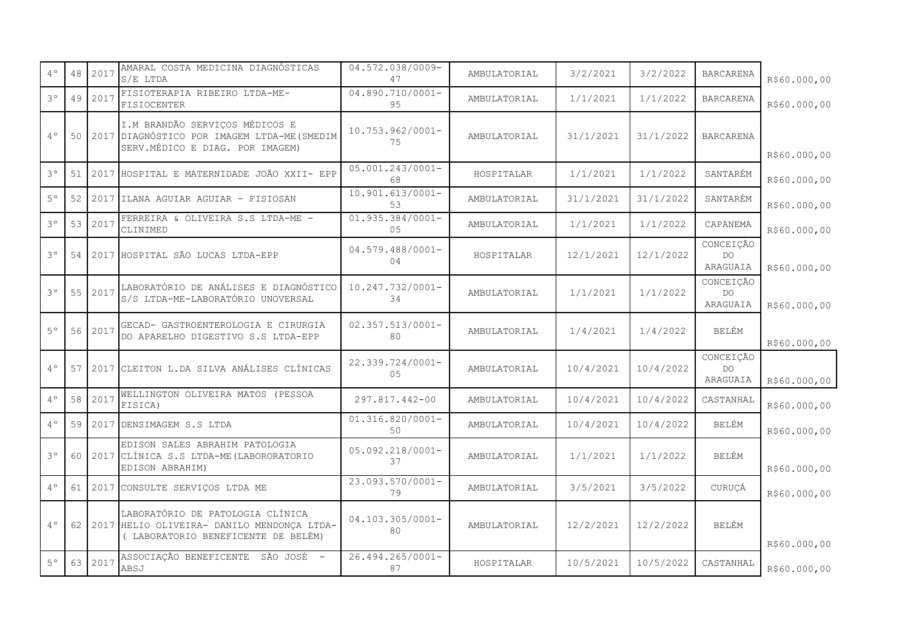| $4^{\circ}$ | 48 | 2017 | AMARAL COSTA MEDICINA DIAGNÓSTICAS<br>S/E LTDA                                                                        | 04.572.038/0009-<br>47     | AMBULATORIAL | 3/2/2021  | 3/2/2022  | <b>BARCARENA</b>                   | R\$60.000,00 |
|-------------|----|------|-----------------------------------------------------------------------------------------------------------------------|----------------------------|--------------|-----------|-----------|------------------------------------|--------------|
| $3^{\circ}$ | 49 | 2017 | FISIOTERAPIA RIBEIRO LTDA-ME-<br>FISIOCENTER                                                                          | $04.890.710/0001 -$<br>95  | AMBULATORIAL | 1/1/2021  | 1/1/2022  | <b>BARCARENA</b>                   | R\$60.000,00 |
| $4^{\circ}$ | 50 |      | I.M BRANDÃO SERVIÇOS MÉDICOS E<br>2017 DIAGNÓSTICO POR IMAGEM LTDA-ME (SMEDIM<br>SERV. MÉDICO E DIAG. POR IMAGEM)     | $10.753.962/0001 -$<br>75  | AMBULATORIAL | 31/1/2021 | 31/1/2022 | <b>BARCARENA</b>                   | R\$60.000,00 |
| $3^{\circ}$ | 51 |      | 2017 HOSPITAL E MATERNIDADE JOÃO XXII- EPP                                                                            | 05.001.243/0001-<br>68     | HOSPITALAR   | 1/1/2021  | 1/1/2022  | SANTARÉM                           | R\$60.000,00 |
| $5^{\circ}$ | 52 |      | 2017 ILANA AGUIAR AGUIAR - FISIOSAN                                                                                   | 10.901.613/0001-<br>53     | AMBULATORIAL | 31/1/2021 | 31/1/2022 | SANTARÉM                           | R\$60.000,00 |
| $3^{\circ}$ | 53 | 2017 | FERREIRA & OLIVEIRA S.S LTDA-ME -<br>CLINIMED                                                                         | $01.935.384/0001 -$<br>0.5 | AMBULATORIAL | 1/1/2021  | 1/1/2022  | CAPANEMA                           | R\$60.000,00 |
| $3^{\circ}$ | 54 |      | 2017 HOSPITAL SÃO LUCAS LTDA-EPP                                                                                      | $04.579.488/0001 -$<br>04  | HOSPITALAR   | 12/1/2021 | 12/1/2022 | CONCEIÇÃO<br>DO.<br>ARAGUAIA       | R\$60.000,00 |
| $3^{\circ}$ | 55 | 2017 | LABORATÓRIO DE ANÁLISES E DIAGNÓSTICO<br>S/S LTDA-ME-LABORATÓRIO UNOVERSAL                                            | 10.247.732/0001-<br>34     | AMBULATORIAL | 1/1/2021  | 1/1/2022  | CONCEIÇÃO<br><b>DO</b><br>ARAGUAIA | R\$60.000,00 |
| $5^{\circ}$ | 56 | 2017 | GECAD- GASTROENTEROLOGIA E CIRURGIA<br>DO APARELHO DIGESTIVO S.S LTDA-EPP                                             | $02.357.513/0001 -$<br>80  | AMBULATORIAL | 1/4/2021  | 1/4/2022  | BELÉM                              | R\$60.000,00 |
| $4^{\circ}$ | 57 |      | 2017 CLEITON L.DA SILVA ANÁLISES CLÍNICAS                                                                             | 22.339.724/0001-<br>0.5    | AMBULATORIAL | 10/4/2021 | 10/4/2022 | CONCEIÇÃO<br><b>DO</b><br>ARAGUAIA | R\$60.000,00 |
| $4^{\circ}$ | 58 | 2017 | WELLINGTON OLIVEIRA MATOS (PESSOA<br>FISICA)                                                                          | 297.817.442-00             | AMBULATORIAL | 10/4/2021 | 10/4/2022 | CASTANHAL                          | R\$60.000,00 |
| $4^{\circ}$ | 59 |      | 2017 DENSIMAGEM S.S LTDA                                                                                              | $01.316.820/0001 -$<br>50  | AMBULATORIAL | 10/4/2021 | 10/4/2022 | BELÉM                              | R\$60.000,00 |
| $3^{\circ}$ | 60 |      | EDISON SALES ABRAHIM PATOLOGIA<br>2017 CLÍNICA S.S LTDA-ME (LABORORATORIO<br>EDISON ABRAHIM)                          | $05.092.218/0001 -$<br>37  | AMBULATORIAL | 1/1/2021  | 1/1/2022  | BELÉM                              | R\$60.000,00 |
| $4^{\circ}$ | 61 |      | 2017 CONSULTE SERVIÇOS LTDA ME                                                                                        | 23.093.570/0001-<br>79     | AMBULATORIAL | 3/5/2021  | 3/5/2022  | CURUÇÁ                             | R\$60.000,00 |
| $4^{\circ}$ | 62 |      | LABORATÓRIO DE PATOLOGIA CLÍNICA<br>2017 HELIO OLIVEIRA- DANILO MENDONÇA LTDA-<br>( LABORATORIO BENEFICENTE DE BELÉM) | $04.103.305/0001 -$<br>80  | AMBULATORIAL | 12/2/2021 | 12/2/2022 | BELÉM                              | R\$60.000,00 |
| $5^{\circ}$ | 63 | 2017 | ASSOCIAÇÃO BENEFICENTE SÃO JOSÉ -<br>ABSJ                                                                             | 26.494.265/0001-<br>87     | HOSPITALAR   | 10/5/2021 | 10/5/2022 | CASTANHAL                          | R\$60.000,00 |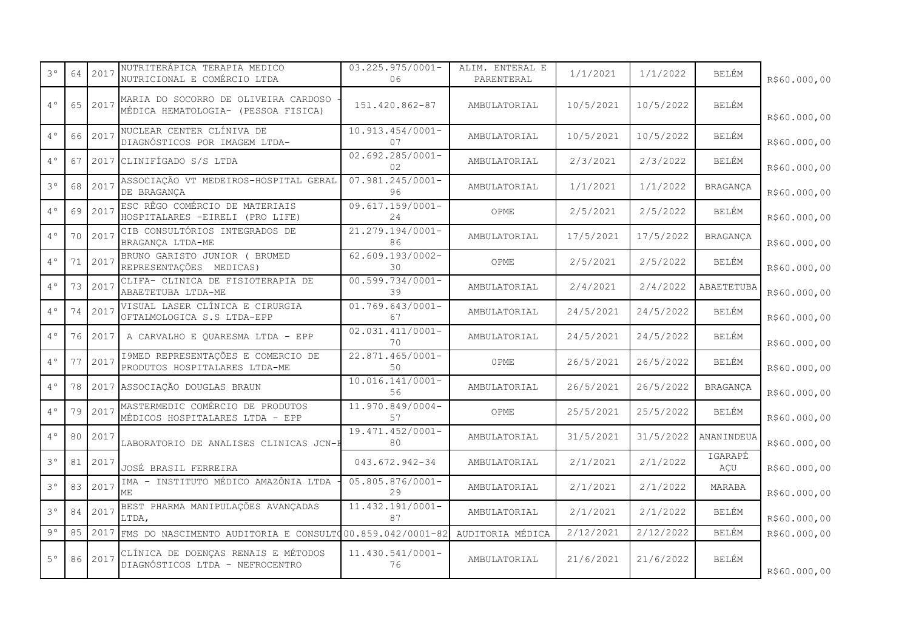| $3^{\circ}$   | 64 | 2017 | NUTRITERÁPICA TERAPIA MEDICO<br>NUTRICIONAL E COMÉRCIO LTDA                 | $03.225.975/0001 -$<br>06 | ALIM. ENTERAL E<br>PARENTERAL | 1/1/2021  | 1/1/2022  | BELÉM           | R\$60.000,00 |
|---------------|----|------|-----------------------------------------------------------------------------|---------------------------|-------------------------------|-----------|-----------|-----------------|--------------|
| $4^{\,\circ}$ | 65 | 2017 | MARIA DO SOCORRO DE OLIVEIRA CARDOSO<br>MÉDICA HEMATOLOGIA- (PESSOA FISICA) | 151.420.862-87            | AMBULATORIAL                  | 10/5/2021 | 10/5/2022 | BELÉM           | R\$60.000,00 |
| $4^{\circ}$   | 66 | 2017 | NUCLEAR CENTER CLÍNIVA DE<br>DIAGNÓSTICOS POR IMAGEM LTDA-                  | 10.913.454/0001-<br>07    | AMBULATORIAL                  | 10/5/2021 | 10/5/2022 | BELÉM           | R\$60.000,00 |
| $4^{\circ}$   | 67 |      | 2017 CLINIFÍGADO S/S LTDA                                                   | $02.692.285/0001 -$<br>02 | AMBULATORIAL                  | 2/3/2021  | 2/3/2022  | BELÉM           | R\$60.000,00 |
| $3^{\circ}$   | 68 | 2017 | ASSOCIAÇÃO VT MEDEIROS-HOSPITAL GERAL<br>DE BRAGANÇA                        | $07.981.245/0001 -$<br>96 | AMBULATORIAL                  | 1/1/2021  | 1/1/2022  | <b>BRAGANÇA</b> | R\$60.000,00 |
| $4^{\circ}$   | 69 | 2017 | ESC RÊGO COMÉRCIO DE MATERIAIS<br>HOSPITALARES -EIRELI (PRO LIFE)           | $09.617.159/0001 -$<br>24 | OPME                          | 2/5/2021  | 2/5/2022  | BELÉM           | R\$60.000,00 |
| $4^{\circ}$   | 70 | 2017 | CIB CONSULTÓRIOS INTEGRADOS DE<br>BRAGANÇA LTDA-ME                          | $21.279.194/0001 -$<br>86 | AMBULATORIAL                  | 17/5/2021 | 17/5/2022 | <b>BRAGANÇA</b> | R\$60.000,00 |
| $4^{\circ}$   | 71 | 2017 | BRUNO GARISTO JUNIOR ( BRUMED<br>REPRESENTAÇÕES MEDICAS)                    | 62.609.193/0002-<br>30    | OPME                          | 2/5/2021  | 2/5/2022  | BELÉM           | R\$60.000,00 |
| $4^{\circ}$   | 73 | 2017 | CLIFA- CLINICA DE FISIOTERAPIA DE<br>ABAETETUBA LTDA-ME                     | $00.599.734/0001 -$<br>39 | AMBULATORIAL                  | 2/4/2021  | 2/4/2022  | ABAETETUBA      | R\$60.000,00 |
| $4^{\circ}$   | 74 | 2017 | VISUAL LASER CLÍNICA E CIRURGIA<br>OFTALMOLOGICA S.S LTDA-EPP               | $01.769.643/0001 -$<br>67 | AMBULATORIAL                  | 24/5/2021 | 24/5/2022 | BELÉM           | R\$60.000,00 |
| $4^{\,\circ}$ | 76 | 2017 | A CARVALHO E QUARESMA LTDA - EPP                                            | $02.031.411/0001 -$<br>70 | AMBULATORIAL                  | 24/5/2021 | 24/5/2022 | BELÉM           | R\$60.000,00 |
| $4^{\circ}$   | 77 | 2017 | I9MED REPRESENTAÇÕES E COMERCIO DE<br>PRODUTOS HOSPITALARES LTDA-ME         | 22.871.465/0001-<br>50    | 0 PME                         | 26/5/2021 | 26/5/2022 | BELÉM           | R\$60.000,00 |
| $4^{\circ}$   | 78 |      | 2017 ASSOCIAÇÃO DOUGLAS BRAUN                                               | $10.016.141/0001 -$<br>56 | AMBULATORIAL                  | 26/5/2021 | 26/5/2022 | <b>BRAGANÇA</b> | R\$60.000,00 |
| $4^{\circ}$   | 79 | 2017 | MASTERMEDIC COMÉRCIO DE PRODUTOS<br>MÉDICOS HOSPITALARES LTDA - EPP         | 11.970.849/0004-<br>57    | OPME                          | 25/5/2021 | 25/5/2022 | BELÉM           | R\$60.000,00 |
| $4^{\circ}$   | 80 | 2017 | LABORATORIO DE ANALISES CLINICAS JCN-E                                      | 19.471.452/0001-<br>80    | AMBULATORIAL                  | 31/5/2021 | 31/5/2022 | ANANINDEUA      | R\$60.000,00 |
| $3^{\circ}$   | 81 | 2017 | JOSÉ BRASIL FERREIRA                                                        | 043.672.942-34            | AMBULATORIAL                  | 2/1/2021  | 2/1/2022  | IGARAPÉ<br>AÇU  | R\$60.000,00 |
| $3^{\circ}$   | 83 | 2017 | IMA - INSTITUTO MÉDICO AMAZÔNIA LTDA<br>МE                                  | 05.805.876/0001-<br>29    | AMBULATORIAL                  | 2/1/2021  | 2/1/2022  | MARABA          | R\$60.000,00 |
| $3^{\circ}$   | 84 | 2017 | BEST PHARMA MANIPULAÇÕES AVANÇADAS<br>LTDA,                                 | 11.432.191/0001-<br>87    | AMBULATORIAL                  | 2/1/2021  | 2/1/2022  | BELÉM           | R\$60.000,00 |
| $9^{\circ}$   | 85 | 2017 | FMS DO NASCIMENTO AUDITORIA E CONSULTO 00.859.042/0001-82                   |                           | AUDITORIA MÉDICA              | 2/12/2021 | 2/12/2022 | BELÉM           | R\$60.000,00 |
| $5^{\circ}$   | 86 | 2017 | CLÍNICA DE DOENÇAS RENAIS E MÉTODOS<br>DIAGNÓSTICOS LTDA - NEFROCENTRO      | 11.430.541/0001-<br>76    | AMBULATORIAL                  | 21/6/2021 | 21/6/2022 | BELÉM           | R\$60.000,00 |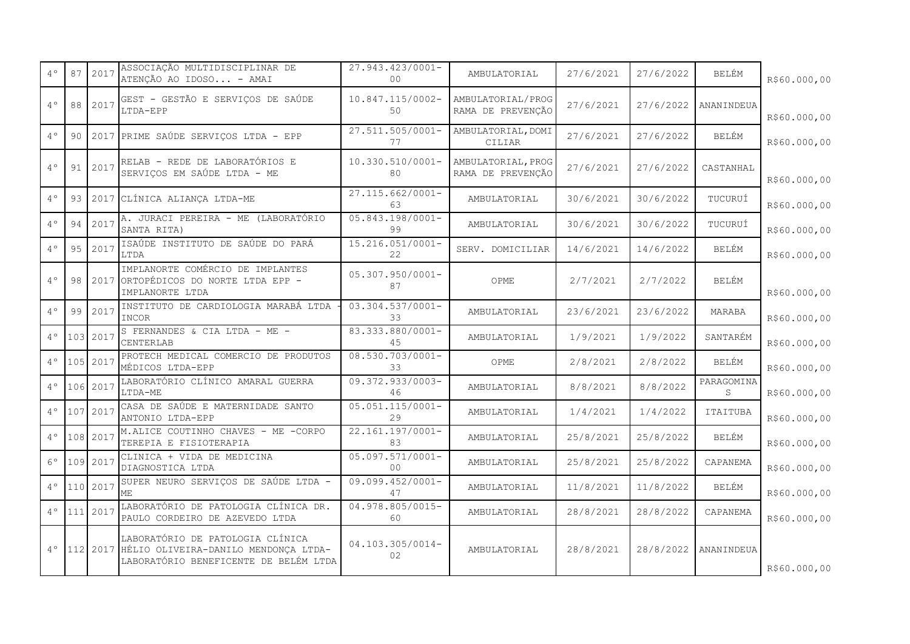| $4^{\circ}$   | 87  | 2017     | ASSOCIAÇÃO MULTIDISCIPLINAR DE<br>ATENÇÃO AO IDOSO - AMAI                                                                  | 27.943.423/0001-<br>00    | AMBULATORIAL                            | 27/6/2021 | 27/6/2022 | BELÉM           | R\$60.000,00 |
|---------------|-----|----------|----------------------------------------------------------------------------------------------------------------------------|---------------------------|-----------------------------------------|-----------|-----------|-----------------|--------------|
| $4^{\circ}$   | 88  | 2017     | GEST - GESTÃO E SERVIÇOS DE SAÚDE<br>LTDA-EPP                                                                              | 10.847.115/0002-<br>50    | AMBULATORIAL/PROG<br>RAMA DE PREVENÇÃO  | 27/6/2021 | 27/6/2022 | ANANINDEUA      | R\$60.000,00 |
| $4^{\circ}$   | 90  |          | 2017 PRIME SAÚDE SERVIÇOS LTDA - EPP                                                                                       | 27.511.505/0001-<br>77    | AMBULATORIAL, DOMI<br>CILIAR            | 27/6/2021 | 27/6/2022 | BELÉM           | R\$60.000,00 |
| $4^{\circ}$   | 91  | 2017     | RELAB - REDE DE LABORATÓRIOS E<br>SERVIÇOS EM SAÚDE LTDA - ME                                                              | 10.330.510/0001-<br>80    | AMBULATORIAL, PROG<br>RAMA DE PREVENÇÃO | 27/6/2021 | 27/6/2022 | CASTANHAL       | R\$60.000,00 |
| $4^{\circ}$   | 93  |          | 2017 CLÍNICA ALIANÇA LTDA-ME                                                                                               | 27.115.662/0001-<br>63    | AMBULATORIAL                            | 30/6/2021 | 30/6/2022 | TUCURUÍ         | R\$60.000,00 |
| $4^{\circ}$   | 94  | 2017     | A. JURACI PEREIRA - ME (LABORATÓRIO<br>SANTA RITA)                                                                         | $05.843.198/0001 -$<br>99 | AMBULATORIAL                            | 30/6/2021 | 30/6/2022 | TUCURUÍ         | R\$60.000,00 |
| $4^{\circ}$   | 95  | 2017     | ISAÚDE INSTITUTO DE SAÚDE DO PARÁ<br>LTDA                                                                                  | 15.216.051/0001-<br>22    | SERV. DOMICILIAR                        | 14/6/2021 | 14/6/2022 | BELÉM           | R\$60.000,00 |
| $4^{\circ}$   | 98  |          | IMPLANORTE COMÉRCIO DE IMPLANTES<br>2017 ORTOPÉDICOS DO NORTE LTDA EPP -<br>IMPLANORTE LTDA                                | $05.307.950/0001 -$<br>87 | OPME                                    | 2/7/2021  | 2/7/2022  | BELÉM           | R\$60.000,00 |
| $4^{\circ}$   | 99  | 2017     | INSTITUTO DE CARDIOLOGIA MARABÁ LTDA<br><b>INCOR</b>                                                                       | $03.304.537/0001 -$<br>33 | AMBULATORIAL                            | 23/6/2021 | 23/6/2022 | MARABA          | R\$60.000,00 |
| $4^{\circ}$   | 103 | 2017     | S FERNANDES & CIA LTDA - ME -<br>CENTERLAB                                                                                 | 83.333.880/0001-<br>45    | AMBULATORIAL                            | 1/9/2021  | 1/9/2022  | SANTARÉM        | R\$60.000,00 |
| $4^{\,\circ}$ | 105 | 2017     | PROTECH MEDICAL COMERCIO DE PRODUTOS<br>MÉDICOS LTDA-EPP                                                                   | $08.530.703/0001 -$<br>33 | OPME                                    | 2/8/2021  | 2/8/2022  | BELÉM           | R\$60.000,00 |
| $4^{\,\circ}$ |     | 106 2017 | LABORATÓRIO CLÍNICO AMARAL GUERRA<br>LTDA-ME                                                                               | 09.372.933/0003-<br>46    | AMBULATORIAL                            | 8/8/2021  | 8/8/2022  | PARAGOMINA<br>S | R\$60.000,00 |
| $4^{\circ}$   | 107 | 2017     | CASA DE SAÚDE E MATERNIDADE SANTO<br>ANTONIO LTDA-EPP                                                                      | $05.051.115/0001 -$<br>29 | AMBULATORIAL                            | 1/4/2021  | 1/4/2022  | <b>ITAITUBA</b> | R\$60.000,00 |
| $4^{\circ}$   | 108 | 2017     | M.ALICE COUTINHO CHAVES - ME -CORPO<br>TEREPIA E FISIOTERAPIA                                                              | $22.161.197/0001 -$<br>83 | AMBULATORIAL                            | 25/8/2021 | 25/8/2022 | BELÉM           | R\$60.000,00 |
| $6^{\circ}$   | 109 | 2017     | CLINICA + VIDA DE MEDICINA<br>DIAGNOSTICA LTDA                                                                             | $05.097.571/0001 -$<br>00 | AMBULATORIAL                            | 25/8/2021 | 25/8/2022 | CAPANEMA        | R\$60.000,00 |
| $4^{\circ}$   | 110 | 2017     | SUPER NEURO SERVIÇOS DE SAÚDE LTDA -<br><b>MF</b>                                                                          | $09.099.452/0001 -$<br>47 | AMBULATORIAL                            | 11/8/2021 | 11/8/2022 | <b>BELÉM</b>    | R\$60.000,00 |
| $4^{\circ}$   |     | 111 2017 | LABORATÓRIO DE PATOLOGIA CLÍNICA DR.<br>PAULO CORDEIRO DE AZEVEDO LTDA                                                     | 04.978.805/0015-<br>60    | AMBULATORIAL                            | 28/8/2021 | 28/8/2022 | CAPANEMA        | R\$60.000,00 |
| $4^{\circ}$   |     |          | LABORATÓRIO DE PATOLOGIA CLÍNICA<br>112 2017 HÉLIO OLIVEIRA-DANILO MENDONÇA LTDA-<br>LABORATÓRIO BENEFICENTE DE BELÉM LTDA | 04.103.305/0014-<br>02    | AMBULATORIAL                            | 28/8/2021 | 28/8/2022 | ANANINDEUA      | R\$60.000,00 |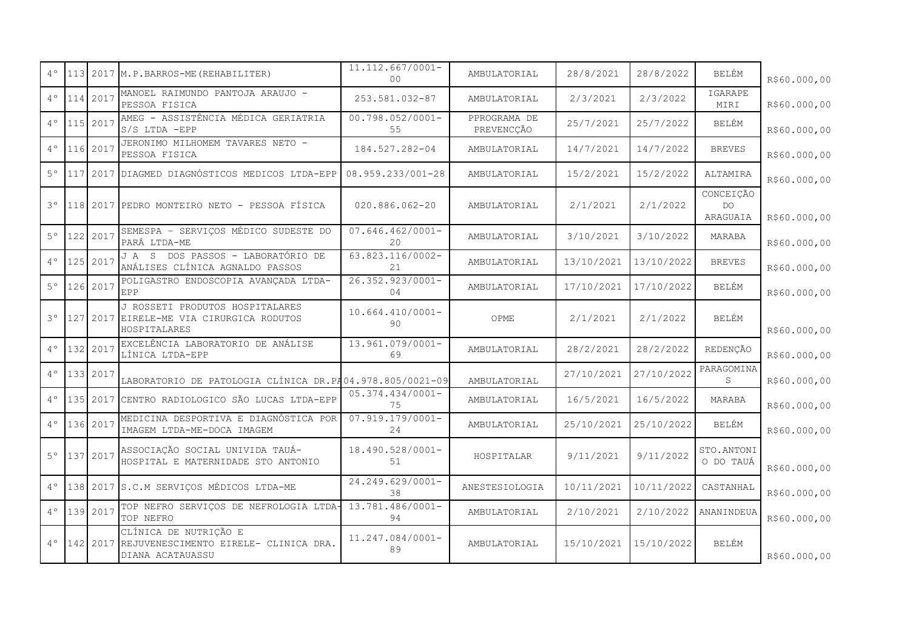| $4^{\circ}$   | 113   |          | 2017 M.P.BARROS-ME (REHABILITER)                                                   | 11.112.667/0001-<br>0 <sub>0</sub> | AMBULATORIAL               | 28/8/2021  | 28/8/2022  | BELÉM                        | R\$60.000,00 |
|---------------|-------|----------|------------------------------------------------------------------------------------|------------------------------------|----------------------------|------------|------------|------------------------------|--------------|
| $4^{\circ}$   |       | 114 2017 | MANOEL RAIMUNDO PANTOJA ARAUJO -<br>PESSOA FISICA                                  | 253.581.032-87                     | AMBULATORIAL               | 2/3/2021   | 2/3/2022   | IGARAPE<br>MIRI              | R\$60.000,00 |
| $4^{\circ}$   |       | 115 2017 | AMEG - ASSISTÊNCIA MÉDICA GERIATRIA<br>S/S LTDA -EPP                               | $00.798.052/0001 -$<br>55          | PPROGRAMA DE<br>PREVENCÇÃO | 25/7/2021  | 25/7/2022  | <b>BELÉM</b>                 | R\$60.000,00 |
| $4^{\circ}$   |       | 116 2017 | JERONIMO MILHOMEM TAVARES NETO -<br>PESSOA FISICA                                  | 184.527.282-04                     | AMBULATORIAL               | 14/7/2021  | 14/7/2022  | <b>BREVES</b>                | R\$60.000,00 |
| 50            | 117   | 2017     | DIAGMED DIAGNÓSTICOS MEDICOS LTDA-EPP                                              | 08.959.233/001-28                  | AMBULATORIAL               | 15/2/2021  | 15/2/2022  | ALTAMIRA                     | R\$60.000,00 |
| $3^{\circ}$   |       |          | 118 2017 PEDRO MONTEIRO NETO - PESSOA FÍSICA                                       | $020.886.062 - 20$                 | AMBULATORIAL               | 2/1/2021   | 2/1/2022   | CONCEIÇÃO<br>DO.<br>ARAGUAIA | R\$60.000,00 |
| 50            | 122   | 2017     | SEMESPA - SERVIÇOS MÉDICO SUDESTE DO<br>PARÁ LTDA-ME                               | $07.646.462/0001 -$<br>20          | AMBULATORIAL               | 3/10/2021  | 3/10/2022  | MARABA                       | R\$60.000,00 |
| $4^{\circ}$   | $125$ | 2017     | J A S DOS PASSOS - LABORATÓRIO DE<br>ANÁLISES CLÍNICA AGNALDO PASSOS               | 63.823.116/0002-<br>21             | AMBULATORIAL               | 13/10/2021 | 13/10/2022 | <b>BREVES</b>                | R\$60.000,00 |
| $5^{\,\circ}$ |       | 126 2017 | POLIGASTRO ENDOSCOPIA AVANÇADA LTDA-<br>EPP                                        | $26.352.923/0001 -$<br>04          | AMBULATORIAL               | 17/10/2021 | 17/10/2022 | BELÉM                        | R\$60.000,00 |
| $3^{\circ}$   | 127   | 2017     | J ROSSETI PRODUTOS HOSPITALARES<br>EIRELE-ME VIA CIRURGICA RODUTOS<br>HOSPITALARES | $10.664.410/0001 -$<br>90          | OPME                       | 2/1/2021   | 2/1/2022   | <b>BELÉM</b>                 | R\$60.000,00 |
| $4^{\circ}$   | $132$ | 2017     | EXCELÊNCIA LABORATORIO DE ANÁLISE<br>LÍNICA LTDA-EPP                               | 13.961.079/0001-<br>69             | AMBULATORIAL               | 28/2/2021  | 28/2/2022  | REDENÇÃO                     | R\$60.000,00 |
| $4^{\circ}$   | 133   | 2017     | LABORATORIO DE PATOLOGIA CLÍNICA DR.PA04.978.805/0021-09                           |                                    | AMBULATORIAL               | 27/10/2021 | 27/10/2022 | PARAGOMINA<br>S              | R\$60.000,00 |
| $4^{\circ}$   | 135   | 2017     | CENTRO RADIOLOGICO SÃO LUCAS LTDA-EPP                                              | $05.374.434/0001 -$<br>75          | AMBULATORIAL               | 16/5/2021  | 16/5/2022  | MARABA                       | R\$60.000,00 |
| $4^{\circ}$   |       | 136 2017 | MEDICINA DESPORTIVA E DIAGNÓSTICA POR<br>IMAGEM LTDA-ME-DOCA IMAGEM                | 07.919.179/0001-<br>24             | AMBULATORIAL               | 25/10/2021 | 25/10/2022 | <b>BELÉM</b>                 | R\$60.000,00 |
| 50            |       | 137 2017 | ASSOCIAÇÃO SOCIAL UNIVIDA TAUÁ-<br>HOSPITAL E MATERNIDADE STO ANTONIO              | 18.490.528/0001-<br>51             | HOSPITALAR                 | 9/11/2021  | 9/11/2022  | STO. ANTONI<br>O DO TAUÁ     | R\$60.000,00 |
| $4^{\circ}$   |       |          | 138 2017 S.C.M SERVIÇOS MÉDICOS LTDA-ME                                            | 24.249.629/0001-<br>38             | ANESTESIOLOGIA             | 10/11/2021 | 10/11/2022 | CASTANHAL                    | R\$60.000,00 |
| $4^{\circ}$   |       | 139 2017 | TOP NEFRO SERVIÇOS DE NEFROLOGIA LTDA-<br>TOP NEFRO                                | 13.781.486/0001-<br>94             | AMBULATORIAL               | 2/10/2021  | 2/10/2022  | ANANINDEUA                   | R\$60.000,00 |
| $4^{\,\circ}$ |       | 142 2017 | CLÍNICA DE NUTRIÇÃO E<br>REJUVENESCIMENTO EIRELE- CLINICA DRA.<br>DIANA ACATAUASSU | 11.247.084/0001-<br>89             | AMBULATORIAL               | 15/10/2021 | 15/10/2022 | BELÉM                        | R\$60.000,00 |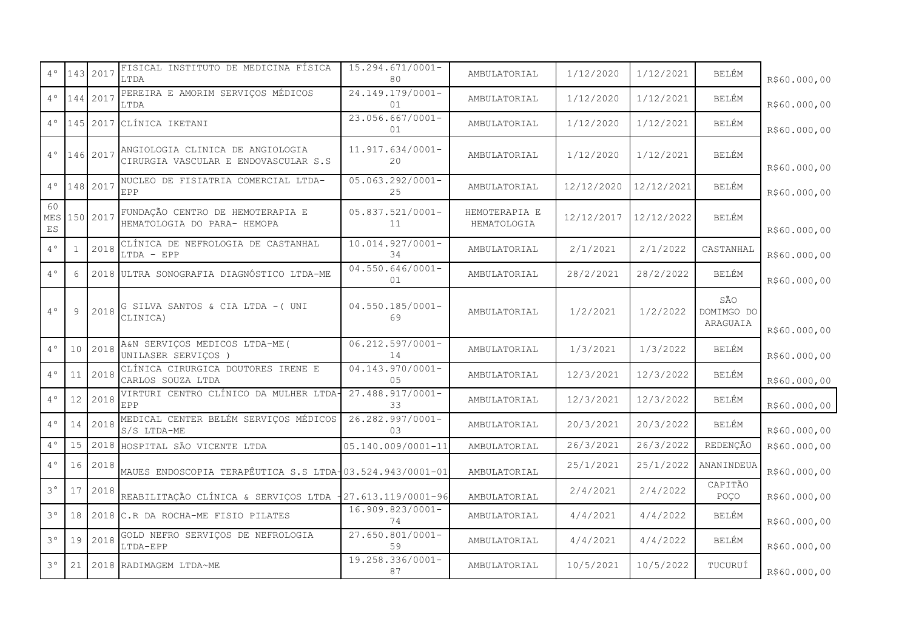| $4^{\circ}$                     |              | 143 2017 | FISICAL INSTITUTO DE MEDICINA FÍSICA<br>LTDA                             | 15.294.671/0001-<br>80    | AMBULATORIAL                 | 1/12/2020  | 1/12/2021  | BELÉM                         | R\$60.000,00 |
|---------------------------------|--------------|----------|--------------------------------------------------------------------------|---------------------------|------------------------------|------------|------------|-------------------------------|--------------|
| $4^{\circ}$                     |              | 144 2017 | PEREIRA E AMORIM SERVIÇOS MÉDICOS<br>LTDA                                | 24.149.179/0001-<br>01    | AMBULATORIAL                 | 1/12/2020  | 1/12/2021  | <b>BELÉM</b>                  | R\$60.000,00 |
| $4^{\circ}$                     |              |          | 145 2017 CLÍNICA IKETANI                                                 | $23.056.667/0001 -$<br>01 | AMBULATORIAL                 | 1/12/2020  | 1/12/2021  | BELÉM                         | R\$60.000,00 |
| $4^{\circ}$                     |              | 146 2017 | ANGIOLOGIA CLINICA DE ANGIOLOGIA<br>CIRURGIA VASCULAR E ENDOVASCULAR S.S | 11.917.634/0001-<br>20    | AMBULATORIAL                 | 1/12/2020  | 1/12/2021  | BELÉM                         | R\$60.000,00 |
| $4^{\circ}$                     |              | 148 2017 | NUCLEO DE FISIATRIA COMERCIAL LTDA-<br>EPP                               | $05.063.292/0001 -$<br>25 | AMBULATORIAL                 | 12/12/2020 | 12/12/2021 | <b>BELÉM</b>                  | R\$60.000,00 |
| 60<br><b>MES</b><br>$_{\rm ES}$ | 150          | 2017     | FUNDAÇÃO CENTRO DE HEMOTERAPIA E<br>HEMATOLOGIA DO PARA- HEMOPA          | $05.837.521/0001 -$<br>11 | HEMOTERAPIA E<br>HEMATOLOGIA | 12/12/2017 | 12/12/2022 | BELÉM                         | R\$60.000,00 |
| $4^{\circ}$                     | $\mathbf{1}$ | 2018     | CLÍNICA DE NEFROLOGIA DE CASTANHAL<br>LTDA - EPP                         | 10.014.927/0001-<br>34    | AMBULATORIAL                 | 2/1/2021   | 2/1/2022   | CASTANHAL                     | R\$60.000,00 |
| $4^{\circ}$                     | 6            |          | 2018 ULTRA SONOGRAFIA DIAGNÓSTICO LTDA-ME                                | $04.550.646/0001 -$<br>01 | AMBULATORIAL                 | 28/2/2021  | 28/2/2022  | BELÉM                         | R\$60.000,00 |
| $4^{\circ}$                     | 9            | 2018     | G SILVA SANTOS & CIA LTDA - ( UNI<br>CLINICA)                            | $04.550.185/0001 -$<br>69 | AMBULATORIAL                 | 1/2/2021   | 1/2/2022   | SÃO<br>DOMIMGO DO<br>ARAGUAIA | R\$60.000,00 |
| $4^{\circ}$                     | 10           | 2018     | A&N SERVIÇOS MEDICOS LTDA-ME (<br>UNILASER SERVIÇOS )                    | $06.212.597/0001 -$<br>14 | AMBULATORIAL                 | 1/3/2021   | 1/3/2022   | <b>BELÉM</b>                  | R\$60.000,00 |
| $4^{\circ}$                     | 11           | 2018     | CLÍNICA CIRURGICA DOUTORES IRENE E<br>CARLOS SOUZA LTDA                  | $04.143.970/0001 -$<br>05 | AMBULATORIAL                 | 12/3/2021  | 12/3/2022  | <b>BELÉM</b>                  | R\$60.000,00 |
| $4^{\circ}$                     | 12           | 2018     | VIRTURI CENTRO CLÍNICO DA MULHER LTDA-<br><b>EPP</b>                     | 27.488.917/0001-<br>33    | AMBULATORIAL                 | 12/3/2021  | 12/3/2022  | BELÉM                         | R\$60.000,00 |
| $4^{\circ}$                     | 14           | 2018     | MEDICAL CENTER BELÉM SERVIÇOS MÉDICOS<br>S/S LTDA-ME                     | $26.282.997/0001 -$<br>03 | AMBULATORIAL                 | 20/3/2021  | 20/3/2022  | BELÉM                         | R\$60.000,00 |
| $4^{\,\circ}$                   | 15           | 2018     | HOSPITAL SÃO VICENTE LTDA                                                | 05.140.009/0001-11        | AMBULATORIAL                 | 26/3/2021  | 26/3/2022  | REDENCÃO                      | R\$60.000,00 |
| $4\,^{\circ}$                   | 16           | 2018     | MAUES ENDOSCOPIA TERAPÊUTICA S.S LTDA 03.524.943/0001-01                 |                           | AMBULATORIAL                 | 25/1/2021  | 25/1/2022  | ANANINDEUA                    | R\$60.000,00 |
| $3^{\circ}$                     | 17           | 2018     | REABILITAÇÃO CLÍNICA & SERVIÇOS LTDA - 27.613.119/0001-96                |                           | AMBULATORIAL                 | 2/4/2021   | 2/4/2022   | CAPITÃO<br>POCO               | R\$60.000,00 |
| $3^{\circ}$                     | 18           |          | 2018 C.R DA ROCHA-ME FISIO PILATES                                       | $16.909.823/0001 -$<br>74 | AMBULATORIAL                 | 4/4/2021   | 4/4/2022   | BELÉM                         | R\$60.000,00 |
| $3^{\circ}$                     | 19           | 2018     | GOLD NEFRO SERVIÇOS DE NEFROLOGIA<br>LTDA-EPP                            | $27.650.801/0001 -$<br>59 | AMBULATORIAL                 | 4/4/2021   | 4/4/2022   | BELÉM                         | R\$60.000,00 |
| 30                              | 21           |          | 2018 RADIMAGEM LTDA~ME                                                   | 19.258.336/0001-<br>87    | AMBULATORIAL                 | 10/5/2021  | 10/5/2022  | TUCURUÍ                       | R\$60.000,00 |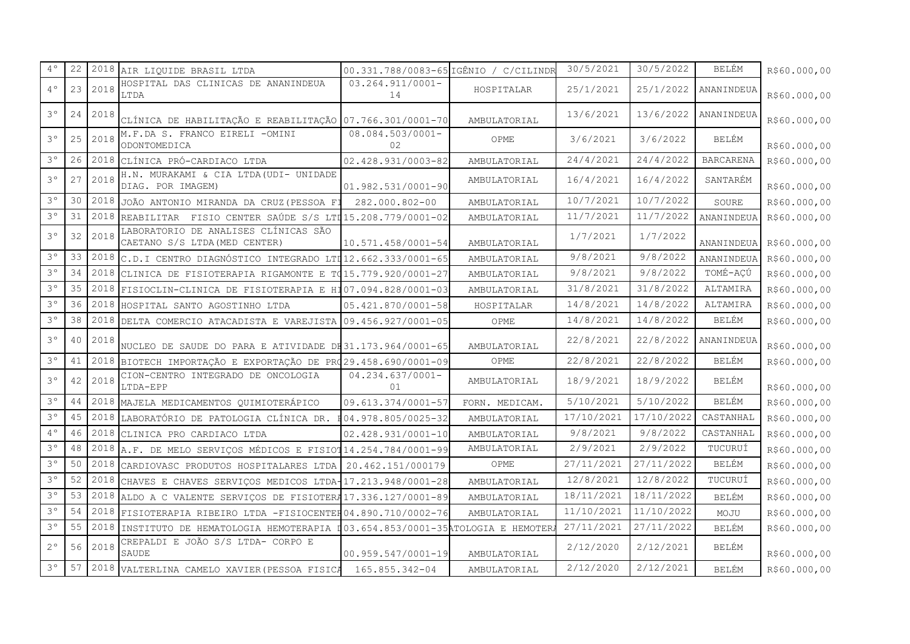| $4^{\circ}$ | 22 | 2018 | AIR LIQUIDE BRASIL LTDA                                                    |                           | 00.331.788/0083-65 IGÊNIO / C/CILINDR | 30/5/2021  | 30/5/2022  | BELÉM            | R\$60.000,00            |
|-------------|----|------|----------------------------------------------------------------------------|---------------------------|---------------------------------------|------------|------------|------------------|-------------------------|
| $4^{\circ}$ | 23 | 2018 | HOSPITAL DAS CLINICAS DE ANANINDEUA<br>LTDA                                | $03.264.911/0001 -$<br>14 | HOSPITALAR                            | 25/1/2021  | 25/1/2022  | ANANINDEUA       | R\$60.000,00            |
| $3^{\circ}$ | 24 | 2018 | CLÍNICA DE HABILITAÇÃO E REABILITAÇÃO 07.766.301/0001-70                   |                           | AMBULATORIAL                          | 13/6/2021  | 13/6/2022  | ANANINDEUA       | R\$60.000,00            |
| $3^{\circ}$ | 25 | 2018 | M.F.DA S. FRANCO EIRELI -OMINI<br>ODONTOMEDICA                             | $08.084.503/0001 -$<br>02 | OPME                                  | 3/6/2021   | 3/6/2022   | BELÉM            | R\$60.000,00            |
| $3^{\circ}$ | 26 | 2018 | CLÍNICA PRÓ-CARDIACO LTDA                                                  | 02.428.931/0003-82        | AMBULATORIAL                          | 24/4/2021  | 24/4/2022  | <b>BARCARENA</b> | R\$60.000,00            |
| $3^{\circ}$ | 27 | 2018 | H.N. MURAKAMI & CIA LTDA (UDI- UNIDADE<br>DIAG. POR IMAGEM)                | 01.982.531/0001-90        | AMBULATORIAL                          | 16/4/2021  | 16/4/2022  | SANTARÉM         | R\$60.000,00            |
| $3^{\circ}$ | 30 | 2018 | JOÃO ANTONIO MIRANDA DA CRUZ (PESSOA FI                                    | 282.000.802-00            | AMBULATORIAL                          | 10/7/2021  | 10/7/2022  | SOURE            | R\$60.000,00            |
| $3^{\circ}$ | 31 | 2018 | REABILITAR FISIO CENTER SAÚDE S/S LTI 15.208.779/0001-02                   |                           | AMBULATORIAL                          | 11/7/2021  | 11/7/2022  | ANANINDEUA       | R\$60.000,00            |
| $3^{\circ}$ | 32 | 2018 | LABORATORIO DE ANALISES CLÍNICAS SÃO<br>CAETANO S/S LTDA (MED CENTER)      | 10.571.458/0001-54        | AMBULATORIAL                          | 1/7/2021   | 1/7/2022   | ANANINDEUA       | R\$60.000,00            |
| $3^{\circ}$ | 33 | 2018 | C.D.I CENTRO DIAGNÓSTICO INTEGRADO LTI12.662.333/0001-65                   |                           | AMBULATORIAL                          | 9/8/2021   | 9/8/2022   |                  | ANANINDEUA R\$60.000,00 |
| $3^{\circ}$ | 34 | 2018 | CLINICA DE FISIOTERAPIA RIGAMONTE E T(15.779.920/0001-27                   |                           | AMBULATORIAL                          | 9/8/2021   | 9/8/2022   | TOMÉ-AÇÚ         | R\$60.000,00            |
| $3^{\circ}$ | 35 | 2018 | FISIOCLIN-CLINICA DE FISIOTERAPIA E H107.094.828/0001-03                   |                           | AMBULATORIAL                          | 31/8/2021  | 31/8/2022  | ALTAMIRA         | R\$60.000,00            |
| $3^{\circ}$ | 36 | 2018 | HOSPITAL SANTO AGOSTINHO LTDA                                              | 05.421.870/0001-58        | HOSPITALAR                            | 14/8/2021  | 14/8/2022  | ALTAMIRA         | R\$60.000,00            |
| $3^{\circ}$ | 38 | 2018 | DELTA COMERCIO ATACADISTA E VAREJISTA 09.456.927/0001-05                   |                           | OPME                                  | 14/8/2021  | 14/8/2022  | BELÉM            | R\$60.000,00            |
| $3^{\circ}$ | 40 | 2018 | NUCLEO DE SAUDE DO PARA E ATIVIDADE DE31.173.964/0001-65                   |                           | AMBULATORIAL                          | 22/8/2021  | 22/8/2022  | ANANINDEUA       | R\$60.000,00            |
| $3^{\circ}$ | 41 | 2018 | BIOTECH IMPORTAÇÃO E EXPORTAÇÃO DE PRO 29.458.690/0001-09                  |                           | OPME                                  | 22/8/2021  | 22/8/2022  | <b>BELÉM</b>     | R\$60.000,00            |
| $3^{\circ}$ | 42 | 2018 | CION-CENTRO INTEGRADO DE ONCOLOGIA<br>LTDA-EPP                             | $04.234.637/0001 -$<br>01 | AMBULATORIAL                          | 18/9/2021  | 18/9/2022  | BELÉM            | R\$60.000,00            |
| $3^{\circ}$ | 44 | 2018 | MAJELA MEDICAMENTOS QUIMIOTERÁPICO                                         | 09.613.374/0001-57        | FORN. MEDICAM.                        | 5/10/2021  | 5/10/2022  | <b>BELÉM</b>     | R\$60.000,00            |
| $3^{\circ}$ | 45 | 2018 | LABORATÓRIO DE PATOLOGIA CLÍNICA DR.                                       | I04.978.805/0025-32       | AMBULATORIAL                          | 17/10/2021 | 17/10/2022 | CASTANHAL        | R\$60.000,00            |
| $4^{\circ}$ | 46 | 2018 | CLINICA PRO CARDIACO LTDA                                                  | 02.428.931/0001-10        | AMBULATORIAL                          | 9/8/2021   | 9/8/2022   | CASTANHAL        | R\$60.000,00            |
| $3^{\circ}$ | 48 | 2018 | A.F. DE MELO SERVIÇOS MÉDICOS E FISIO114.254.784/0001-99                   |                           | AMBULATORIAL                          | 2/9/2021   | 2/9/2022   | TUCURUÍ          | R\$60.000,00            |
| $3^{\circ}$ | 50 | 2018 | CARDIOVASC PRODUTOS HOSPITALARES LTDA 20.462.151/000179                    |                           | OPME                                  | 27/11/2021 | 27/11/2022 | BELÉM            | R\$60.000,00            |
| $3^{\circ}$ | 52 | 2018 | CHAVES E CHAVES SERVIÇOS MEDICOS LTDA-17.213.948/0001-28                   |                           | AMBULATORIAL                          | 12/8/2021  | 12/8/2022  | TUCURUI          | R\$60.000,00            |
| $3^{\circ}$ | 53 | 2018 | ALDO A C VALENTE SERVIÇOS DE FISIOTERA 17.336.127/0001-89                  |                           | AMBULATORIAL                          | 18/11/2021 | 18/11/2022 | <b>BELÉM</b>     | R\$60.000,00            |
| $3^{\circ}$ | 54 | 2018 | FISIOTERAPIA RIBEIRO LTDA -FISIOCENTEF04.890.710/0002-76                   |                           | AMBULATORIAL                          | 11/10/2021 | 11/10/2022 | MOJU             | R\$60.000,00            |
| $3^{\circ}$ | 55 | 2018 | INSTITUTO DE HEMATOLOGIA HEMOTERAPIA 103.654.853/0001-35ATOLOGIA E HEMOTER |                           |                                       | 27/11/2021 | 27/11/2022 | BELÉM            | R\$60.000,00            |
| $2^{\circ}$ | 56 | 2018 | CREPALDI E JOÃO S/S LTDA- CORPO E<br>SAUDE                                 | $00.959.547/0001 - 19$    | AMBULATORIAL                          | 2/12/2020  | 2/12/2021  | BELÉM            | R\$60.000,00            |
| $3^{\circ}$ | 57 |      | 2018 VALTERLINA CAMELO XAVIER (PESSOA FISICA                               | 165.855.342-04            | AMBULATORIAL                          | 2/12/2020  | 2/12/2021  | BELÉM            | R\$60.000,00            |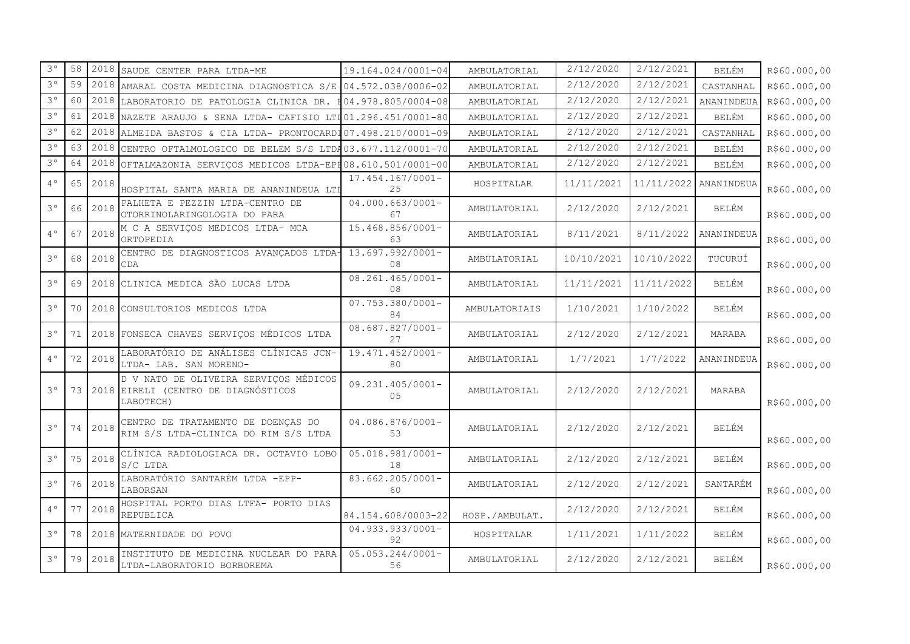| $3^{\circ}$ | 58 | 2018 | SAUDE CENTER PARA LTDA-ME                                                                 | 19.164.024/0001-04        | AMBULATORIAL   | 2/12/2020  | 2/12/2021  | BELÉM                 | R\$60.000,00 |
|-------------|----|------|-------------------------------------------------------------------------------------------|---------------------------|----------------|------------|------------|-----------------------|--------------|
| 30          | 59 | 2018 | AMARAL COSTA MEDICINA DIAGNOSTICA S/E 04.572.038/0006-02                                  |                           | AMBULATORIAL   | 2/12/2020  | 2/12/2021  | CASTANHAL             | R\$60.000,00 |
| $3^{\circ}$ | 60 | 2018 | LABORATORIO DE PATOLOGIA CLINICA DR. 104.978.805/0004-08                                  |                           | AMBULATORIAL   | 2/12/2020  | 2/12/2021  | ANANINDEUA            | R\$60.000,00 |
| $3^{\circ}$ | 61 | 2018 | NAZETE ARAUJO & SENA LTDA- CAFISIO LTI01.296.451/0001-80                                  |                           | AMBULATORIAL   | 2/12/2020  | 2/12/2021  | BELÉM                 | R\$60.000,00 |
| $3^{\circ}$ | 62 | 2018 | ALMEIDA BASTOS & CIA LTDA- PRONTOCARDI07.498.210/0001-09                                  |                           | AMBULATORIAL   | 2/12/2020  | 2/12/2021  | CASTANHAL             | R\$60.000,00 |
| $3^{\circ}$ | 63 | 2018 | CENTRO OFTALMOLOGICO DE BELEM S/S LTDA03.677.112/0001-70                                  |                           | AMBULATORIAL   | 2/12/2020  | 2/12/2021  | BELÉM                 | R\$60.000,00 |
| $3^{\circ}$ | 64 | 2018 | OFTALMAZONIA SERVIÇOS MEDICOS LTDA-EPH08.610.501/0001-00                                  |                           | AMBULATORIAL   | 2/12/2020  | 2/12/2021  | BELÉM                 | R\$60.000,00 |
| $4^{\circ}$ | 65 | 2018 | HOSPITAL SANTA MARIA DE ANANINDEUA LTI                                                    | 17.454.167/0001-<br>25    | HOSPITALAR     | 11/11/2021 |            | 11/11/2022 ANANINDEUA | R\$60.000,00 |
| 30          | 66 | 2018 | PALHETA E PEZZIN LTDA-CENTRO DE<br>OTORRINOLARINGOLOGIA DO PARA                           | $04.000.663/0001 -$<br>67 | AMBULATORIAL   | 2/12/2020  | 2/12/2021  | BELÉM                 | R\$60.000,00 |
| $4^{\circ}$ | 67 | 2018 | M C A SERVIÇOS MEDICOS LTDA- MCA<br>ORTOPEDIA                                             | 15.468.856/0001-<br>63    | AMBULATORIAL   | 8/11/2021  | 8/11/2022  | ANANINDEUA            | R\$60.000,00 |
| $3^{\circ}$ | 68 | 2018 | CENTRO DE DIAGNOSTICOS AVANÇADOS LTDA-<br>CDA                                             | 13.697.992/0001-<br>08    | AMBULATORIAL   | 10/10/2021 | 10/10/2022 | TUCURUÍ               | R\$60.000,00 |
| 30          | 69 |      | 2018 CLINICA MEDICA SÃO LUCAS LTDA                                                        | $08.261.465/0001 -$<br>08 | AMBULATORIAL   | 11/11/2021 | 11/11/2022 | BELÉM                 | R\$60.000,00 |
| $3^{\circ}$ | 70 | 2018 | CONSULTORIOS MEDICOS LTDA                                                                 | $07.753.380/0001 -$<br>84 | AMBULATORIAIS  | 1/10/2021  | 1/10/2022  | BELÉM                 | R\$60.000,00 |
| 30          | 71 |      | 2018 FONSECA CHAVES SERVIÇOS MÉDICOS LTDA                                                 | $08.687.827/0001 -$<br>27 | AMBULATORIAL   | 2/12/2020  | 2/12/2021  | MARABA                | R\$60.000,00 |
| $4^{\circ}$ | 72 | 2018 | LABORATÓRIO DE ANÁLISES CLÍNICAS JCN-<br>LTDA- LAB. SAN MORENO-                           | 19.471.452/0001-<br>80    | AMBULATORIAL   | 1/7/2021   | 1/7/2022   | ANANINDEUA            | R\$60.000,00 |
| $3^{\circ}$ | 73 |      | D V NATO DE OLIVEIRA SERVIÇOS MÉDICOS<br>2018 EIRELI (CENTRO DE DIAGNÓSTICOS<br>LABOTECH) | 09.231.405/0001-<br>05    | AMBULATORIAL   | 2/12/2020  | 2/12/2021  | MARABA                | R\$60.000,00 |
| $3^{\circ}$ | 74 | 2018 | CENTRO DE TRATAMENTO DE DOENÇAS DO<br>RIM S/S LTDA-CLINICA DO RIM S/S LTDA                | 04.086.876/0001-<br>53    | AMBULATORIAL   | 2/12/2020  | 2/12/2021  | BELÉM                 | R\$60.000,00 |
| 30          | 75 | 2018 | CLÍNICA RADIOLOGIACA DR. OCTAVIO LOBO<br>S/C LTDA                                         | 05.018.981/0001-<br>18    | AMBULATORIAL   | 2/12/2020  | 2/12/2021  | BELÉM                 | R\$60.000,00 |
| 30          | 76 | 2018 | LABORATÓRIO SANTARÉM LTDA -EPP-<br>LABORSAN                                               | $83.662.205/0001 -$<br>60 | AMBULATORIAL   | 2/12/2020  | 2/12/2021  | SANTARÉM              | R\$60.000,00 |
| $4^{\circ}$ | 77 | 2018 | HOSPITAL PORTO DIAS LTFA- PORTO DIAS<br>REPUBLICA                                         | 84.154.608/0003-22        | HOSP./AMBULAT. | 2/12/2020  | 2/12/2021  | BELÉM                 | R\$60.000,00 |
| $3^{\circ}$ | 78 |      | 2018 MATERNIDADE DO POVO                                                                  | $04.933.933/0001 -$<br>92 | HOSPITALAR     | 1/11/2021  | 1/11/2022  | BELÉM                 | R\$60.000,00 |
| $3^{\circ}$ | 79 | 2018 | INSTITUTO DE MEDICINA NUCLEAR DO PARA<br>LTDA-LABORATORIO BORBOREMA                       | $05.053.244/0001 -$<br>56 | AMBULATORIAL   | 2/12/2020  | 2/12/2021  | BELÉM                 | R\$60.000,00 |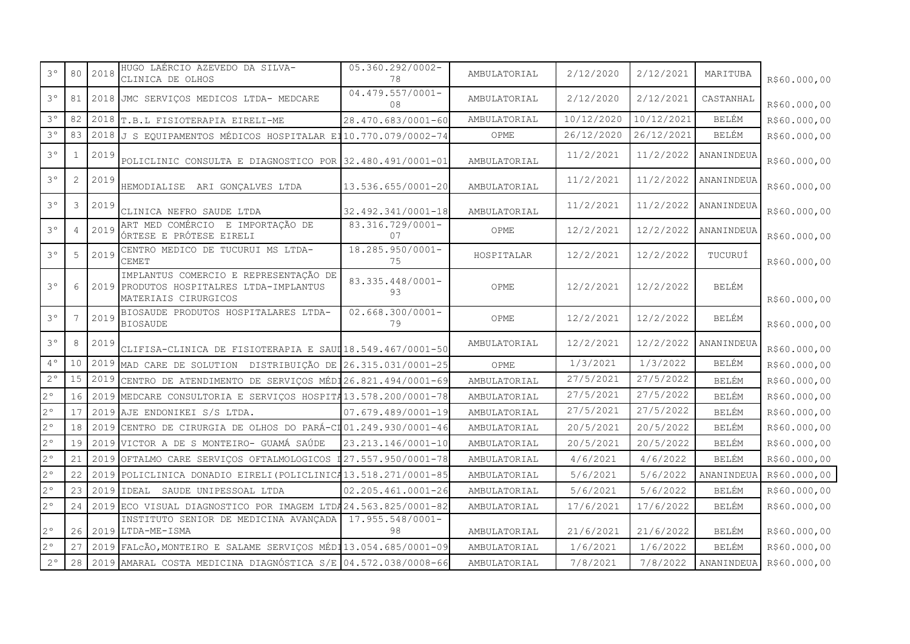| $3^{\circ}$   | 80 | 2018 | HUGO LAÉRCIO AZEVEDO DA SILVA-<br>CLINICA DE OLHOS                                                        | 05.360.292/0002-<br>78    | AMBULATORIAL | 2/12/2020  | 2/12/2021  | MARITUBA     | R\$60.000,00 |
|---------------|----|------|-----------------------------------------------------------------------------------------------------------|---------------------------|--------------|------------|------------|--------------|--------------|
| 30            | 81 |      | 2018 JMC SERVIÇOS MEDICOS LTDA- MEDCARE                                                                   | $04.479.557/0001 -$<br>08 | AMBULATORIAL | 2/12/2020  | 2/12/2021  | CASTANHAL    | R\$60.000,00 |
| $3^{\circ}$   | 82 |      | 2018 T.B.L FISIOTERAPIA EIRELI-ME                                                                         | 28.470.683/0001-60        | AMBULATORIAL | 10/12/2020 | 10/12/2021 | BELÉM        | R\$60.000,00 |
| $3^{\circ}$   | 83 |      | 2018 J S EQUIPAMENTOS MÉDICOS HOSPITALAR E110.770.079/0002-74                                             |                           | OPME         | 26/12/2020 | 26/12/2021 | BELÉM        | R\$60.000,00 |
| $3^{\circ}$   | -1 | 2019 | POLICLINIC CONSULTA E DIAGNOSTICO POR 32.480.491/0001-01                                                  |                           | AMBULATORIAL | 11/2/2021  | 11/2/2022  | ANANINDEUA   | R\$60.000,00 |
| $3^{\circ}$   | 2  | 2019 | HEMODIALISE ARI GONÇALVES LTDA                                                                            | 13.536.655/0001-20        | AMBULATORIAL | 11/2/2021  | 11/2/2022  | ANANINDEUA   | R\$60.000,00 |
| $3^{\circ}$   | 3  | 2019 | CLINICA NEFRO SAUDE LTDA                                                                                  | 32.492.341/0001-18        | AMBULATORIAL | 11/2/2021  | 11/2/2022  | ANANINDEUA   | R\$60.000,00 |
| $3^{\circ}$   | 4  | 2019 | ART MED COMÉRCIO E IMPORTAÇÃO DE<br>ÓRTESE E PRÓTESE EIRELI                                               | 83.316.729/0001-<br>07    | OPME         | 12/2/2021  | 12/2/2022  | ANANINDEUA   | R\$60.000,00 |
| $3^{\circ}$   | 5  | 2019 | CENTRO MEDICO DE TUCURUI MS LTDA-<br><b>CEMET</b>                                                         | 18.285.950/0001-<br>75    | HOSPITALAR   | 12/2/2021  | 12/2/2022  | TUCURUÍ      | R\$60.000,00 |
| $3^{\circ}$   |    |      | IMPLANTUS COMERCIO E REPRESENTAÇÃO DE<br>2019 PRODUTOS HOSPITALRES LTDA-IMPLANTUS<br>MATERIAIS CIRURGICOS | 83.335.448/0001-<br>93    | OPME         | 12/2/2021  | 12/2/2022  | <b>BELÉM</b> | R\$60.000,00 |
| $3^{\circ}$   |    | 2019 | BIOSAUDE PRODUTOS HOSPITALARES LTDA-<br><b>BIOSAUDE</b>                                                   | $02.668.300/0001 -$<br>79 | OPME         | 12/2/2021  | 12/2/2022  | BELÉM        | R\$60.000,00 |
| $3^{\circ}$   | 8  | 2019 | CLIFISA-CLINICA DE FISIOTERAPIA E SAUL18.549.467/0001-50                                                  |                           | AMBULATORIAL | 12/2/2021  | 12/2/2022  | ANANINDEUA   | R\$60.000,00 |
| $4^{\,\circ}$ | 10 | 2019 | MAD CARE DE SOLUTION DISTRIBUIÇÃO DE 26.315.031/0001-25                                                   |                           | OPME         | 1/3/2021   | 1/3/2022   | BELÉM        | R\$60.000,00 |
| $2^{\circ}$   | 15 |      | 2019 CENTRO DE ATENDIMENTO DE SERVIÇOS MÉDI26.821.494/0001-69                                             |                           | AMBULATORIAL | 27/5/2021  | 27/5/2022  | <b>BELÉM</b> | R\$60.000,00 |
| $2^{\circ}$   | 16 |      | 2019 MEDCARE CONSULTORIA E SERVIÇOS HOSPITA 13.578.200/0001-78                                            |                           | AMBULATORIAL | 27/5/2021  | 27/5/2022  | <b>BELÉM</b> | R\$60.000,00 |
| $2^{\circ}$   | 17 |      | 2019 AJE ENDONIKEI S/S LTDA.                                                                              | 07.679.489/0001-19        | AMBULATORIAL | 27/5/2021  | 27/5/2022  | <b>BELÉM</b> | R\$60.000,00 |
| $2^{\circ}$   | 18 |      | 2019 CENTRO DE CIRURGIA DE OLHOS DO PARÁ-CI01.249.930/0001-46                                             |                           | AMBULATORIAL | 20/5/2021  | 20/5/2022  | <b>BELÉM</b> | R\$60.000,00 |
| $2^{\circ}$   | 19 |      | 2019 VICTOR A DE S MONTEIRO- GUAMÁ SAÚDE                                                                  | 23.213.146/0001-10        | AMBULATORIAL | 20/5/2021  | 20/5/2022  | BELÉM        | R\$60.000,00 |
| $2^{\circ}$   | 21 |      | 2019 OFTALMO CARE SERVIÇOS OFTALMOLOGICOS                                                                 | 27.557.950/0001-78        | AMBULATORIAL | 4/6/2021   | 4/6/2022   | BELÉM        | R\$60.000,00 |
| $2^{\circ}$   | 22 |      | 2019 POLICLINICA DONADIO EIRELI (POLICLINICA13.518.271/0001-85                                            |                           | AMBULATORIAL | 5/6/2021   | 5/6/2022   | ANANINDEUA   | R\$60.000,00 |
| $2^{\circ}$   | 23 |      | 2019 IDEAL SAUDE UNIPESSOAL LTDA                                                                          | 02.205.461.0001-26        | AMBULATORIAL | 5/6/2021   | 5/6/2022   | <b>BELÉM</b> | R\$60.000,00 |
| $2^{\circ}$   | 24 |      | 2019 ECO VISUAL DIAGNOSTICO POR IMAGEM LTDZ 24.563.825/0001-82                                            |                           | AMBULATORIAL | 17/6/2021  | 17/6/2022  | BELÉM        | R\$60.000,00 |
| $2^{\circ}$   | 26 |      | INSTITUTO SENIOR DE MEDICINA AVANÇADA<br>2019 LTDA-ME-ISMA                                                | 17.955.548/0001-<br>98    | AMBULATORIAL | 21/6/2021  | 21/6/2022  | <b>BELÉM</b> | R\$60.000,00 |
| $2^{\circ}$   | 27 |      | 2019 FALCÃO, MONTEIRO E SALAME SERVIÇOS MÉDI13.054.685/0001-09                                            |                           | AMBULATORIAL | 1/6/2021   | 1/6/2022   | <b>BELÉM</b> | R\$60.000,00 |
| $2^{\circ}$   | 28 |      | 2019 AMARAL COSTA MEDICINA DIAGNÓSTICA S/E 04.572.038/0008-66                                             |                           | AMBULATORIAL | 7/8/2021   | 7/8/2022   | ANANINDEUA   | R\$60.000,00 |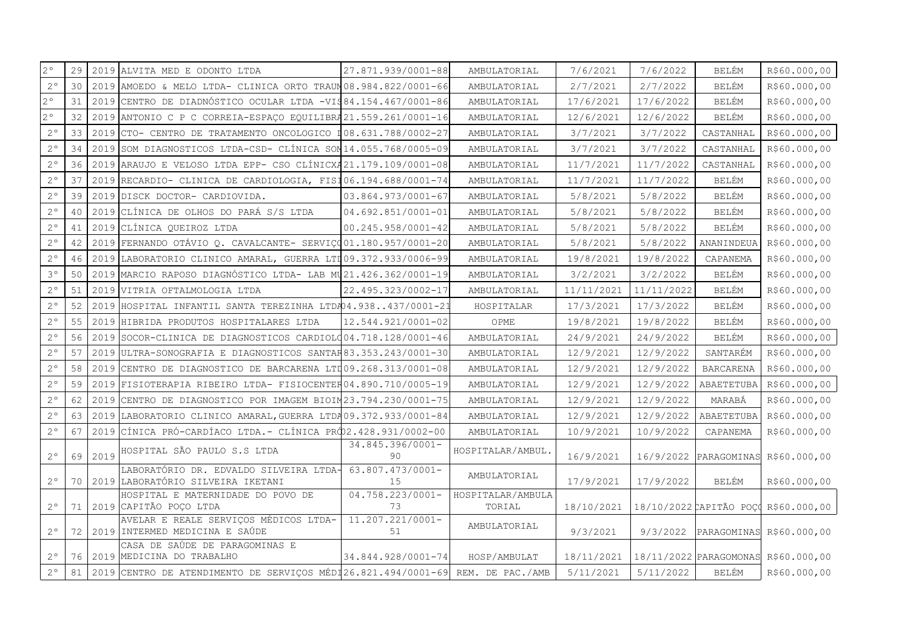| $2^{\circ}$   | 29 |      | 2019 ALVITA MED E ODONTO LTDA                                                                | 27.871.939/0001-88     | AMBULATORIAL      | 7/6/2021   | 7/6/2022   | BELÉM            | R\$60.000,00                        |
|---------------|----|------|----------------------------------------------------------------------------------------------|------------------------|-------------------|------------|------------|------------------|-------------------------------------|
| $2^{\circ}$   | 30 |      | 2019 AMOEDO & MELO LTDA- CLINICA ORTO TRAUN 08.984.822/0001-66                               |                        | AMBULATORIAL      | 2/7/2021   | 2/7/2022   | <b>BELÉM</b>     | R\$60.000,00                        |
| $2^{\circ}$   | 31 |      | 2019 CENTRO DE DIADNÓSTICO OCULAR LTDA -VIS84.154.467/0001-86                                |                        | AMBULATORIAL      | 17/6/2021  | 17/6/2022  | BELÉM            | R\$60.000,00                        |
| $2^{\circ}$   | 32 |      | 2019 ANTONIO C P C CORREIA-ESPAÇO EQUILIBRA 21.559.261/0001-16                               |                        | AMBULATORIAL      | 12/6/2021  | 12/6/2022  | BELÉM            | R\$60.000,00                        |
| $2^{\circ}$   | 33 |      | 2019 CTO- CENTRO DE TRATAMENTO ONCOLOGICO 108.631.788/0002-27                                |                        | AMBULATORIAL      | 3/7/2021   | 3/7/2022   | CASTANHAL        | R\$60.000,00                        |
| $2^{\circ}$   | 34 |      | 2019 SOM DIAGNOSTICOS LTDA-CSD- CLÍNICA SON 14.055.768/0005-09                               |                        | AMBULATORIAL      | 3/7/2021   | 3/7/2022   | CASTANHAL        | R\$60.000,00                        |
| $2^{\circ}$   | 36 |      | 2019 ARAUJO E VELOSO LTDA EPP- CSO CLÍNICX721.179.109/0001-08                                |                        | AMBULATORIAL      | 11/7/2021  | 11/7/2022  | CASTANHAL        | R\$60.000,00                        |
| $2^{\circ}$   | 37 |      | 2019 RECARDIO- CLINICA DE CARDIOLOGIA, FISI06.194.688/0001-74                                |                        | AMBULATORIAL      | 11/7/2021  | 11/7/2022  | BELÉM            | R\$60.000,00                        |
| $2^{\circ}$   | 39 |      | 2019 DISCK DOCTOR- CARDIOVIDA.                                                               | $03.864.973/0001-67$   | AMBULATORIAL      | 5/8/2021   | 5/8/2022   | BELÉM            | R\$60.000,00                        |
| $2^{\circ}$   | 40 |      | 2019 CLÍNICA DE OLHOS DO PARÁ S/S LTDA                                                       | $04.692.851/0001-01$   | AMBULATORIAL      | 5/8/2021   | 5/8/2022   | BELÉM            | R\$60.000,00                        |
| $2^{\circ}$   | 41 |      | 2019 CLÍNICA QUEIROZ LTDA                                                                    | $00.245.958/0001-42$   | AMBULATORIAL      | 5/8/2021   | 5/8/2022   | <b>BELÉM</b>     | R\$60.000,00                        |
| $2^{\circ}$   | 42 |      | 2019 FERNANDO OTÁVIO Q. CAVALCANTE- SERVIÇO01.180.957/0001-20                                |                        | AMBULATORIAL      | 5/8/2021   | 5/8/2022   | ANANINDEUA       | R\$60.000,00                        |
| $2^{\circ}$   | 46 |      | 2019 LABORATORIO CLINICO AMARAL, GUERRA LTI09.372.933/0006-99                                |                        | AMBULATORIAL      | 19/8/2021  | 19/8/2022  | CAPANEMA         | R\$60.000,00                        |
| $3^{\circ}$   | 50 |      | 2019 MARCIO RAPOSO DIAGNÓSTICO LTDA- LAB MU21.426.362/0001-19                                |                        | AMBULATORIAL      | 3/2/2021   | 3/2/2022   | BELÉM            | R\$60.000,00                        |
| $2^{\circ}$   | 51 |      | 2019 VITRIA OFTALMOLOGIA LTDA                                                                | 22.495.323/0002-17     | AMBULATORIAL      | 11/11/2021 | 11/11/2022 | BELÉM            | R\$60.000,00                        |
| $2^{\circ}$   | 52 |      | 2019 HOSPITAL INFANTIL SANTA TEREZINHA LTDA04.938437/0001-21                                 |                        | HOSPITALAR        | 17/3/2021  | 17/3/2022  | BELÉM            | R\$60.000,00                        |
| $2^{\circ}$   | 55 |      | 2019 HIBRIDA PRODUTOS HOSPITALARES LTDA                                                      | 12.544.921/0001-02     | OPME              | 19/8/2021  | 19/8/2022  | <b>BELÉM</b>     | R\$60.000,00                        |
| $2^{\,\circ}$ | 56 |      | 2019 SOCOR-CLINICA DE DIAGNOSTICOS CARDIOLO04.718.128/0001-46                                |                        | AMBULATORIAL      | 24/9/2021  | 24/9/2022  | BELÉM            | R\$60.000,00                        |
| $2^{\,\circ}$ | 57 |      | 2019 ULTRA-SONOGRAFIA E DIAGNOSTICOS SANTAR83.353.243/0001-30                                |                        | AMBULATORIAL      | 12/9/2021  | 12/9/2022  | SANTARÉM         | R\$60.000,00                        |
| $2^{\circ}$   | 58 |      | 2019 CENTRO DE DIAGNOSTICO DE BARCARENA LTI09.268.313/0001-08                                |                        | AMBULATORIAL      | 12/9/2021  | 12/9/2022  | <b>BARCARENA</b> | R\$60.000,00                        |
| $2^{\circ}$   | 59 |      | 2019 FISIOTERAPIA RIBEIRO LTDA- FISIOCENTEF04.890.710/0005-19                                |                        | AMBULATORIAL      | 12/9/2021  | 12/9/2022  |                  | ABAETETUBA R\$60.000,00             |
| $2^{\circ}$   | 62 |      | 2019 CENTRO DE DIAGNOSTICO POR IMAGEM BIOIN 23.794.230/0001-75                               |                        | AMBULATORIAL      | 12/9/2021  | 12/9/2022  | MARABÁ           | R\$60.000,00                        |
| $2^{\circ}$   | 63 |      | 2019 LABORATORIO CLINICO AMARAL, GUERRA LTDA 09.372.933/0001-84                              |                        | AMBULATORIAL      | 12/9/2021  | 12/9/2022  |                  | ABAETETUBA   R\$60.000,00           |
| $2^{\circ}$   | 67 |      | 2019 CÍNICA PRÓ-CARDÍACO LTDA.- CLÍNICA PRÓ02.428.931/0002-00                                |                        | AMBULATORIAL      | 10/9/2021  | 10/9/2022  | CAPANEMA         | R\$60.000,00                        |
| $2^{\circ}$   | 69 | 2019 | HOSPITAL SÃO PAULO S.S LTDA                                                                  | 34.845.396/0001-<br>90 | HOSPITALAR/AMBUL. | 16/9/2021  |            |                  | 16/9/2022 PARAGOMINAS R\$60.000,00  |
| $2^{\circ}$   | 70 |      | LABORATÓRIO DR. EDVALDO SILVEIRA LTDA- 63.807.473/0001-<br>2019 LABORATÓRIO SILVEIRA IKETANI | 15                     | AMBULATORIAL      | 17/9/2021  | 17/9/2022  | <b>BELÉM</b>     | R\$60.000,00                        |
|               |    |      | HOSPITAL E MATERNIDADE DO POVO DE                                                            | 04.758.223/0001-       | HOSPITALAR/AMBULA |            |            |                  |                                     |
| $2^{\circ}$   | 71 |      | 2019 CAPITÃO POÇO LTDA<br>AVELAR E REALE SERVIÇOS MÉDICOS LTDA- 11.207.221/0001-             | 73                     | TORIAL            | 18/10/2021 |            |                  | 18/10/2022 ZAPITÃO POC R\$60.000,00 |
| $2^{\circ}$   | 72 |      | 2019 INTERMED MEDICINA E SAÚDE                                                               | 51                     | AMBULATORIAL      | 9/3/2021   |            |                  | 9/3/2022 PARAGOMINAS R\$60.000,00   |
| $2^{\circ}$   | 76 |      | CASA DE SAÚDE DE PARAGOMINAS E<br>2019 MEDICINA DO TRABALHO                                  | 34.844.928/0001-74     | HOSP/AMBULAT      | 18/11/2021 |            |                  | 18/11/2022 PARAGOMONAS R\$60.000,00 |
| $2^{\circ}$   | 81 |      | 2019 CENTRO DE ATENDIMENTO DE SERVIÇOS MÉDI26.821.494/0001-69 REM. DE PAC./AMB               |                        |                   | 5/11/2021  | 5/11/2022  | BELÉM            | R\$60.000,00                        |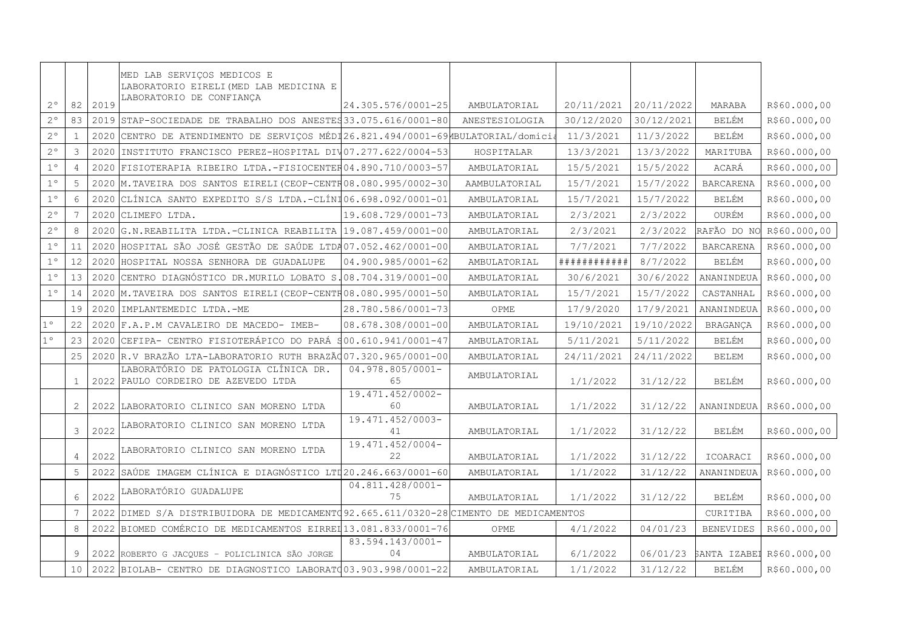|             |                |      | MED LAB SERVIÇOS MEDICOS E<br>LABORATORIO EIRELI (MED LAB MEDICINA E<br>LABORATORIO DE CONFIANÇA |                           |                |                       |            |                  |                                  |
|-------------|----------------|------|--------------------------------------------------------------------------------------------------|---------------------------|----------------|-----------------------|------------|------------------|----------------------------------|
| $2^{\circ}$ | 82             | 2019 |                                                                                                  | 24.305.576/0001-25        | AMBULATORIAL   | 20/11/2021            | 20/11/2022 | MARABA           | R\$60.000,00                     |
| $2^{\circ}$ | 83             |      | 2019 STAP-SOCIEDADE DE TRABALHO DOS ANESTES 33.075.616/0001-80                                   |                           | ANESTESIOLOGIA | 30/12/2020            | 30/12/2021 | <b>BELÉM</b>     | R\$60.000,00                     |
| $2^{\circ}$ |                | 2020 | CENTRO DE ATENDIMENTO DE SERVIÇOS MÉDI26.821.494/0001-69 MBULATORIAL/domicia                     |                           |                | 11/3/2021             | 11/3/2022  | BELÉM            | R\$60.000,00                     |
| $2^{\circ}$ | 3              | 2020 | INSTITUTO FRANCISCO PEREZ-HOSPITAL DIV07.277.622/0004-53                                         |                           | HOSPITALAR     | 13/3/2021             | 13/3/2022  | MARITUBA         | R\$60.000,00                     |
| $1^{\circ}$ | $\overline{4}$ | 2020 | FISIOTERAPIA RIBEIRO LTDA.-FISIOCENTEF04.890.710/0003-57                                         |                           | AMBULATORIAL   | 15/5/2021             | 15/5/2022  | ACARÁ            | R\$60.000,00                     |
| $1^{\circ}$ | 5              |      | 2020 M. TAVEIRA DOS SANTOS EIRELI (CEOP-CENTE 08.080.995/0002-30                                 |                           | AAMBULATORIAL  | 15/7/2021             | 15/7/2022  | <b>BARCARENA</b> | R\$60.000,00                     |
| $1^{\circ}$ | 6              | 2020 | CLÍNICA SANTO EXPEDITO S/S LTDA.-CLÍNI06.698.092/0001-01                                         |                           | AMBULATORIAL   | 15/7/2021             | 15/7/2022  | BELÉM            | R\$60.000,00                     |
| $2^{\circ}$ |                | 2020 | CLIMEFO LTDA.                                                                                    | 19.608.729/0001-73        | AMBULATORIAL   | 2/3/2021              | 2/3/2022   | OURÉM            | R\$60.000,00                     |
| $2^{\circ}$ | 8              |      | 2020 G.N.REABILITA LTDA.-CLINICA REABILITA 19.087.459/0001-00                                    |                           | AMBULATORIAL   | 2/3/2021              | 2/3/2022   |                  | RAFÃO DO NO R\$60.000,00         |
| $1^{\circ}$ | 11             |      | 2020 HOSPITAL SÃO JOSÉ GESTÃO DE SAÚDE LTDA 07.052.462/0001-00                                   |                           | AMBULATORIAL   | 7/7/2021              | 7/7/2022   | <b>BARCARENA</b> | R\$60.000,00                     |
| $1^{\circ}$ | 12             | 2020 | HOSPITAL NOSSA SENHORA DE GUADALUPE                                                              | 04.900.985/0001-62        | AMBULATORIAL   | # # # # # # # # # # # | 8/7/2022   | BELÉM            | R\$60.000,00                     |
| $1^{\circ}$ | 13             | 2020 | CENTRO DIAGNÓSTICO DR. MURILO LOBATO S.08.704.319/0001-00                                        |                           | AMBULATORIAL   | 30/6/2021             | 30/6/2022  | ANANINDEUA       | R\$60.000,00                     |
| $1^{\circ}$ | 14             |      | 2020 M. TAVEIRA DOS SANTOS EIRELI (CEOP-CENTE 08.080.995/0001-50)                                |                           | AMBULATORIAL   | 15/7/2021             | 15/7/2022  | CASTANHAL        | R\$60.000,00                     |
|             | 19             |      | 2020 IMPLANTEMEDIC LTDA.-ME                                                                      | 28.780.586/0001-73        | OPME           | 17/9/2020             | 17/9/2021  | ANANINDEUA       | R\$60.000,00                     |
| $1^{\circ}$ | 22             | 2020 | F.A.P.M CAVALEIRO DE MACEDO- IMEB-                                                               | 08.678.308/0001-00        | AMBULATORIAL   | 19/10/2021            | 19/10/2022 | <b>BRAGANÇA</b>  | R\$60.000,00                     |
| $1^{\circ}$ | 23             | 2020 | CEFIPA- CENTRO FISIOTERÁPICO DO PARÁ \$00.610.941/0001-47                                        |                           | AMBULATORIAL   | 5/11/2021             | 5/11/2022  | BELÉM            | R\$60.000,00                     |
|             | 25             |      | 2020 R.V BRAZÃO LTA-LABORATORIO RUTH BRAZÃO 07.320.965/0001-00                                   |                           | AMBULATORIAL   | 24/11/2021            | 24/11/2022 | <b>BELEM</b>     | R\$60.000,00                     |
|             | -1             |      | LABORATÓRIO DE PATOLOGIA CLÍNICA DR.<br>2022 PAULO CORDEIRO DE AZEVEDO LTDA                      | $04.978.805/0001 -$<br>65 | AMBULATORIAL   | 1/1/2022              | 31/12/22   | BELÉM            | R\$60.000,00                     |
|             | $\mathbf{2}$   |      | 2022 LABORATORIO CLINICO SAN MORENO LTDA                                                         | 19.471.452/0002-<br>60    | AMBULATORIAL   | 1/1/2022              | 31/12/22   | ANANINDEUA       | R\$60.000,00                     |
|             | 3              | 2022 | LABORATORIO CLINICO SAN MORENO LTDA                                                              | 19.471.452/0003-<br>41    | AMBULATORIAL   | 1/1/2022              | 31/12/22   | <b>BELÉM</b>     | R\$60.000,00                     |
|             | $\overline{4}$ | 2022 | LABORATORIO CLINICO SAN MORENO LTDA                                                              | 19.471.452/0004-<br>22    | AMBULATORIAL   | 1/1/2022              | 31/12/22   | ICOARACI         | R\$60.000,00                     |
|             | 5              | 2022 | SAÚDE IMAGEM CLÍNICA E DIAGNÓSTICO LTI 20.246.663/0001-60                                        |                           | AMBULATORIAL   | 1/1/2022              | 31/12/22   | ANANINDEUA       | R\$60.000,00                     |
|             | 6              | 2022 | LABORATÓRIO GUADALUPE                                                                            | 04.811.428/0001-<br>75    | AMBULATORIAL   | 1/1/2022              | 31/12/22   | <b>BELÉM</b>     | R\$60.000,00                     |
|             |                | 2022 | DIMED S/A DISTRIBUIDORA DE MEDICAMENT 42.665.611/0320-28 CIMENTO DE MEDICAMENTOS                 |                           |                |                       |            | CURITIBA         | R\$60.000,00                     |
|             | 8              |      | 2022 BIOMED COMÉRCIO DE MEDICAMENTOS EIRREI 13.081.833/0001-76                                   |                           | OPME           | 4/1/2022              | 04/01/23   | <b>BENEVIDES</b> | R\$60.000,00                     |
|             | 9              |      | 2022 ROBERTO G JACQUES - POLICLINICA SÃO JORGE                                                   | 83.594.143/0001-<br>04    | AMBULATORIAL   | 6/1/2022              | 06/01/23   |                  | <b>SANTA IZABEI R\$60.000,00</b> |
|             | 10             |      | 2022 BIOLAB- CENTRO DE DIAGNOSTICO LABORATO 03.903.998/0001-22                                   |                           | AMBULATORIAL   | 1/1/2022              | 31/12/22   | <b>BELÉM</b>     | R\$60.000,00                     |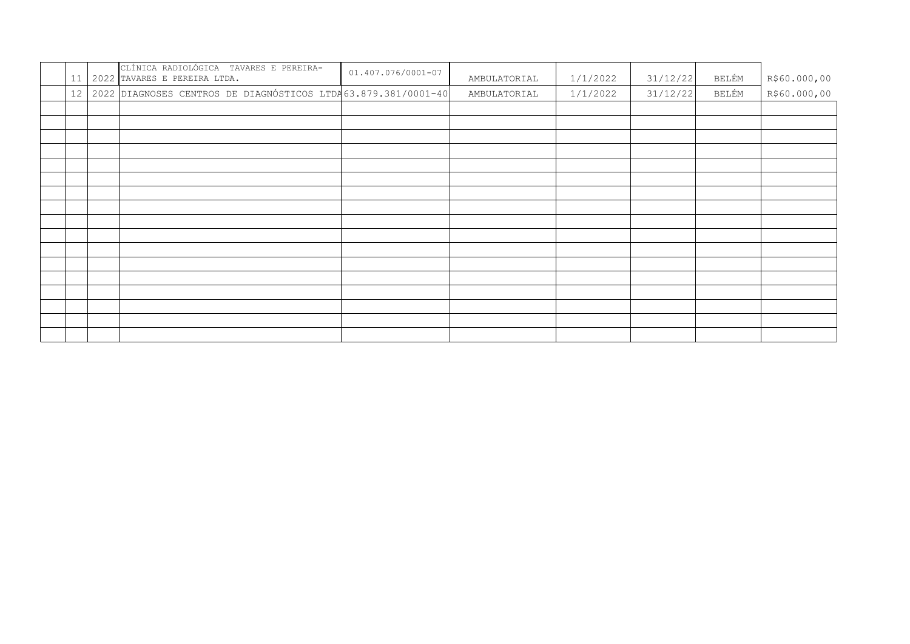| 11 | CLÍNICA RADIOLÓGICA TAVARES E PEREIRA-<br>2022 TAVARES E PEREIRA LTDA. | $01.407.076/0001-07$ | AMBULATORIAL | 1/1/2022 | 31/12/22 | BELÉM | R\$60.000,00 |
|----|------------------------------------------------------------------------|----------------------|--------------|----------|----------|-------|--------------|
| 12 | 2022 DIAGNOSES CENTROS DE DIAGNÓSTICOS LTDA 63.879.381/0001-40         |                      | AMBULATORIAL | 1/1/2022 | 31/12/22 | BELÉM | R\$60.000,00 |
|    |                                                                        |                      |              |          |          |       |              |
|    |                                                                        |                      |              |          |          |       |              |
|    |                                                                        |                      |              |          |          |       |              |
|    |                                                                        |                      |              |          |          |       |              |
|    |                                                                        |                      |              |          |          |       |              |
|    |                                                                        |                      |              |          |          |       |              |
|    |                                                                        |                      |              |          |          |       |              |
|    |                                                                        |                      |              |          |          |       |              |
|    |                                                                        |                      |              |          |          |       |              |
|    |                                                                        |                      |              |          |          |       |              |
|    |                                                                        |                      |              |          |          |       |              |
|    |                                                                        |                      |              |          |          |       |              |
|    |                                                                        |                      |              |          |          |       |              |
|    |                                                                        |                      |              |          |          |       |              |
|    |                                                                        |                      |              |          |          |       |              |
|    |                                                                        |                      |              |          |          |       |              |
|    |                                                                        |                      |              |          |          |       |              |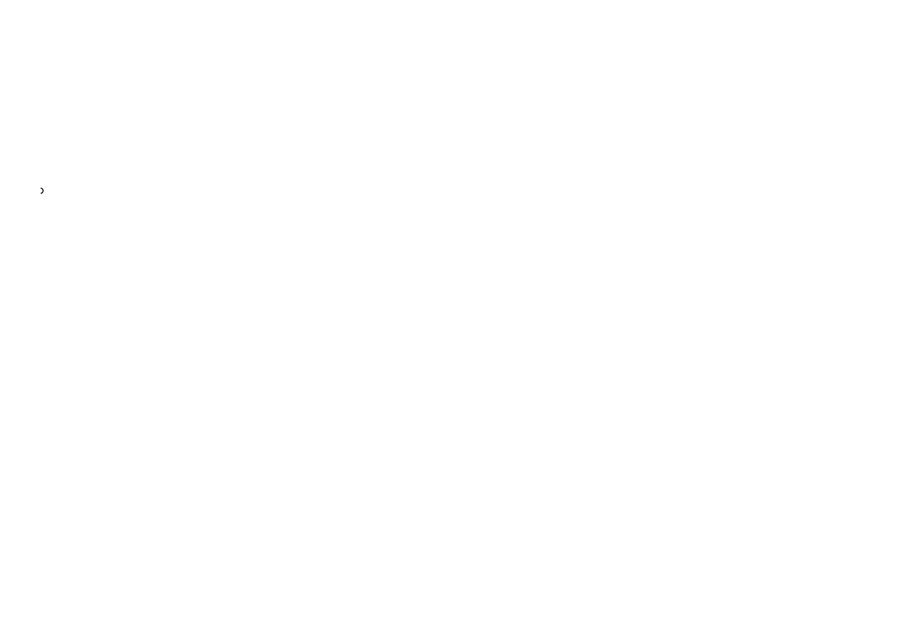**VALOR ESTIMADO**